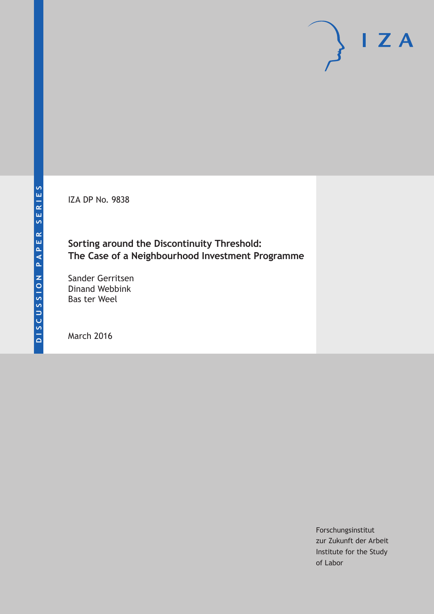IZA DP No. 9838

## **Sorting around the Discontinuity Threshold: The Case of a Neighbourhood Investment Programme**

Sander Gerritsen Dinand Webbink Bas ter Weel

March 2016

Forschungsinstitut zur Zukunft der Arbeit Institute for the Study of Labor

 $I Z A$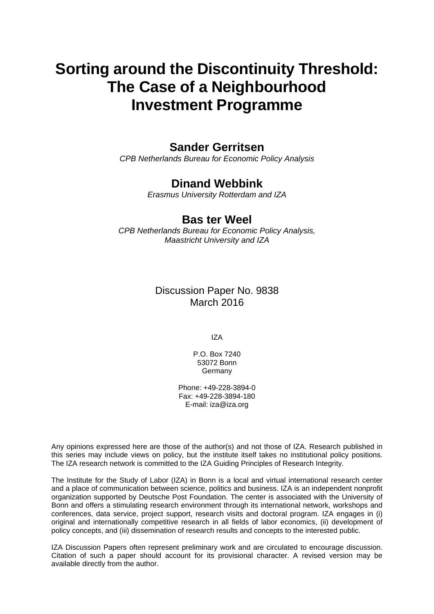# **Sorting around the Discontinuity Threshold: The Case of a Neighbourhood Investment Programme**

## **Sander Gerritsen**

*CPB Netherlands Bureau for Economic Policy Analysis* 

## **Dinand Webbink**

*Erasmus University Rotterdam and IZA* 

### **Bas ter Weel**

*CPB Netherlands Bureau for Economic Policy Analysis, Maastricht University and IZA*

### Discussion Paper No. 9838 March 2016

IZA

P.O. Box 7240 53072 Bonn **Germany** 

Phone: +49-228-3894-0 Fax: +49-228-3894-180 E-mail: iza@iza.org

Any opinions expressed here are those of the author(s) and not those of IZA. Research published in this series may include views on policy, but the institute itself takes no institutional policy positions. The IZA research network is committed to the IZA Guiding Principles of Research Integrity.

The Institute for the Study of Labor (IZA) in Bonn is a local and virtual international research center and a place of communication between science, politics and business. IZA is an independent nonprofit organization supported by Deutsche Post Foundation. The center is associated with the University of Bonn and offers a stimulating research environment through its international network, workshops and conferences, data service, project support, research visits and doctoral program. IZA engages in (i) original and internationally competitive research in all fields of labor economics, (ii) development of policy concepts, and (iii) dissemination of research results and concepts to the interested public.

IZA Discussion Papers often represent preliminary work and are circulated to encourage discussion. Citation of such a paper should account for its provisional character. A revised version may be available directly from the author.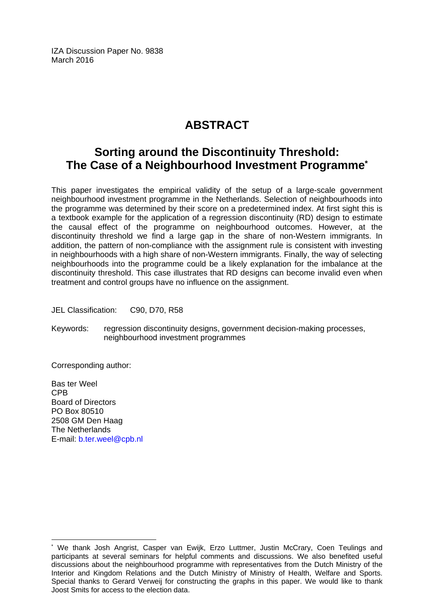IZA Discussion Paper No. 9838 March 2016

## **ABSTRACT**

## **Sorting around the Discontinuity Threshold: The Case of a Neighbourhood Investment Programme\***

This paper investigates the empirical validity of the setup of a large-scale government neighbourhood investment programme in the Netherlands. Selection of neighbourhoods into the programme was determined by their score on a predetermined index. At first sight this is a textbook example for the application of a regression discontinuity (RD) design to estimate the causal effect of the programme on neighbourhood outcomes. However, at the discontinuity threshold we find a large gap in the share of non-Western immigrants. In addition, the pattern of non-compliance with the assignment rule is consistent with investing in neighbourhoods with a high share of non-Western immigrants. Finally, the way of selecting neighbourhoods into the programme could be a likely explanation for the imbalance at the discontinuity threshold. This case illustrates that RD designs can become invalid even when treatment and control groups have no influence on the assignment.

JEL Classification: C90, D70, R58

Keywords: regression discontinuity designs, government decision-making processes, neighbourhood investment programmes

Corresponding author:

Bas ter Weel CPB Board of Directors PO Box 80510 2508 GM Den Haag The Netherlands E-mail: b.ter.weel@cpb.nl

 $\overline{\phantom{a}}$ 

<sup>\*</sup> We thank Josh Angrist, Casper van Ewijk, Erzo Luttmer, Justin McCrary, Coen Teulings and participants at several seminars for helpful comments and discussions. We also benefited useful discussions about the neighbourhood programme with representatives from the Dutch Ministry of the Interior and Kingdom Relations and the Dutch Ministry of Ministry of Health, Welfare and Sports. Special thanks to Gerard Verweij for constructing the graphs in this paper. We would like to thank Joost Smits for access to the election data.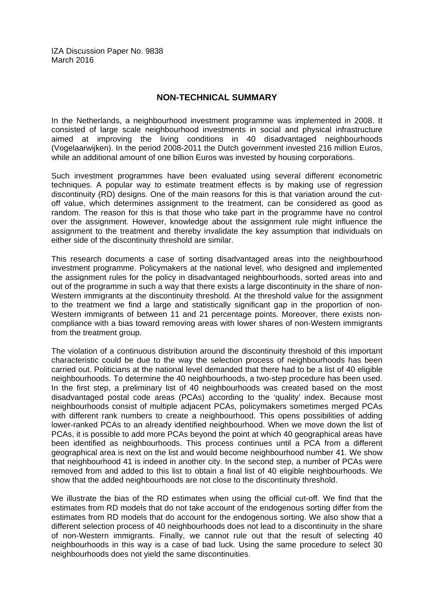IZA Discussion Paper No. 9838 March 2016

#### **NON-TECHNICAL SUMMARY**

In the Netherlands, a neighbourhood investment programme was implemented in 2008. It consisted of large scale neighbourhood investments in social and physical infrastructure aimed at improving the living conditions in 40 disadvantaged neighbourhoods (Vogelaarwijken). In the period 2008-2011 the Dutch government invested 216 million Euros, while an additional amount of one billion Euros was invested by housing corporations.

Such investment programmes have been evaluated using several different econometric techniques. A popular way to estimate treatment effects is by making use of regression discontinuity (RD) designs. One of the main reasons for this is that variation around the cutoff value, which determines assignment to the treatment, can be considered as good as random. The reason for this is that those who take part in the programme have no control over the assignment. However, knowledge about the assignment rule might influence the assignment to the treatment and thereby invalidate the key assumption that individuals on either side of the discontinuity threshold are similar.

This research documents a case of sorting disadvantaged areas into the neighbourhood investment programme. Policymakers at the national level, who designed and implemented the assignment rules for the policy in disadvantaged neighbourhoods, sorted areas into and out of the programme in such a way that there exists a large discontinuity in the share of non-Western immigrants at the discontinuity threshold. At the threshold value for the assignment to the treatment we find a large and statistically significant gap in the proportion of non-Western immigrants of between 11 and 21 percentage points. Moreover, there exists noncompliance with a bias toward removing areas with lower shares of non-Western immigrants from the treatment group.

The violation of a continuous distribution around the discontinuity threshold of this important characteristic could be due to the way the selection process of neighbourhoods has been carried out. Politicians at the national level demanded that there had to be a list of 40 eligible neighbourhoods. To determine the 40 neighbourhoods, a two-step procedure has been used. In the first step, a preliminary list of 40 neighbourhoods was created based on the most disadvantaged postal code areas (PCAs) according to the 'quality' index. Because most neighbourhoods consist of multiple adjacent PCAs, policymakers sometimes merged PCAs with different rank numbers to create a neighbourhood. This opens possibilities of adding lower-ranked PCAs to an already identified neighbourhood. When we move down the list of PCAs, it is possible to add more PCAs beyond the point at which 40 geographical areas have been identified as neighbourhoods. This process continues until a PCA from a different geographical area is next on the list and would become neighbourhood number 41. We show that neighbourhood 41 is indeed in another city. In the second step, a number of PCAs were removed from and added to this list to obtain a final list of 40 eligible neighbourhoods. We show that the added neighbourhoods are not close to the discontinuity threshold.

We illustrate the bias of the RD estimates when using the official cut-off. We find that the estimates from RD models that do not take account of the endogenous sorting differ from the estimates from RD models that do account for the endogenous sorting. We also show that a different selection process of 40 neighbourhoods does not lead to a discontinuity in the share of non-Western immigrants. Finally, we cannot rule out that the result of selecting 40 neighbourhoods in this way is a case of bad luck. Using the same procedure to select 30 neighbourhoods does not yield the same discontinuities.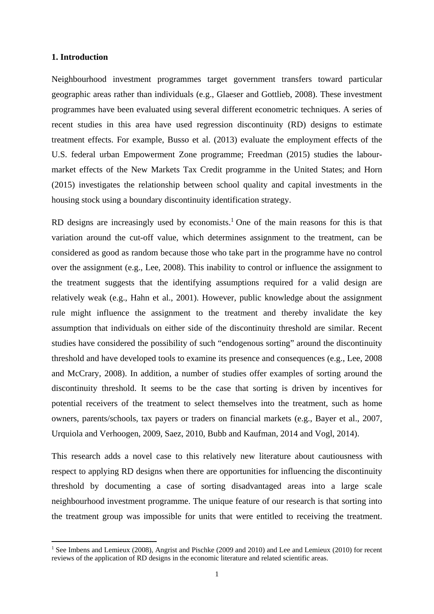#### **1. Introduction**

Neighbourhood investment programmes target government transfers toward particular geographic areas rather than individuals (e.g., Glaeser and Gottlieb, 2008). These investment programmes have been evaluated using several different econometric techniques. A series of recent studies in this area have used regression discontinuity (RD) designs to estimate treatment effects. For example, Busso et al. (2013) evaluate the employment effects of the U.S. federal urban Empowerment Zone programme; Freedman (2015) studies the labourmarket effects of the New Markets Tax Credit programme in the United States; and Horn (2015) investigates the relationship between school quality and capital investments in the housing stock using a boundary discontinuity identification strategy.

RD designs are increasingly used by economists.<sup>1</sup> One of the main reasons for this is that variation around the cut-off value, which determines assignment to the treatment, can be considered as good as random because those who take part in the programme have no control over the assignment (e.g., Lee, 2008). This inability to control or influence the assignment to the treatment suggests that the identifying assumptions required for a valid design are relatively weak (e.g., Hahn et al., 2001). However, public knowledge about the assignment rule might influence the assignment to the treatment and thereby invalidate the key assumption that individuals on either side of the discontinuity threshold are similar. Recent studies have considered the possibility of such "endogenous sorting" around the discontinuity threshold and have developed tools to examine its presence and consequences (e.g., Lee, 2008 and McCrary, 2008). In addition, a number of studies offer examples of sorting around the discontinuity threshold. It seems to be the case that sorting is driven by incentives for potential receivers of the treatment to select themselves into the treatment, such as home owners, parents/schools, tax payers or traders on financial markets (e.g., Bayer et al., 2007, Urquiola and Verhoogen, 2009, Saez, 2010, Bubb and Kaufman, 2014 and Vogl, 2014).

This research adds a novel case to this relatively new literature about cautiousness with respect to applying RD designs when there are opportunities for influencing the discontinuity threshold by documenting a case of sorting disadvantaged areas into a large scale neighbourhood investment programme. The unique feature of our research is that sorting into the treatment group was impossible for units that were entitled to receiving the treatment.

<sup>&</sup>lt;sup>1</sup> See Imbens and Lemieux (2008), Angrist and Pischke (2009 and 2010) and Lee and Lemieux (2010) for recent reviews of the application of RD designs in the economic literature and related scientific areas.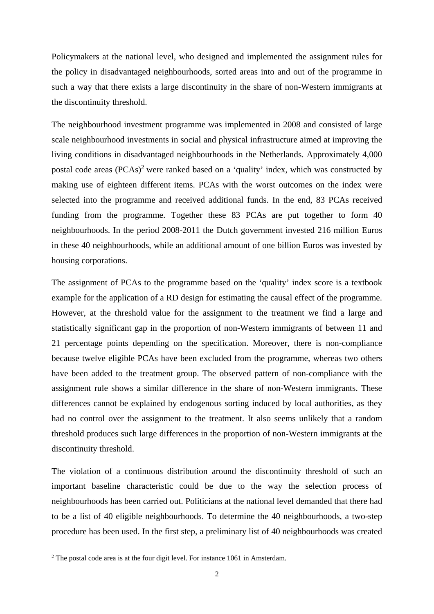Policymakers at the national level, who designed and implemented the assignment rules for the policy in disadvantaged neighbourhoods, sorted areas into and out of the programme in such a way that there exists a large discontinuity in the share of non-Western immigrants at the discontinuity threshold.

The neighbourhood investment programme was implemented in 2008 and consisted of large scale neighbourhood investments in social and physical infrastructure aimed at improving the living conditions in disadvantaged neighbourhoods in the Netherlands. Approximately 4,000 postal code areas (PCAs)<sup>2</sup> were ranked based on a 'quality' index, which was constructed by making use of eighteen different items. PCAs with the worst outcomes on the index were selected into the programme and received additional funds. In the end, 83 PCAs received funding from the programme. Together these 83 PCAs are put together to form 40 neighbourhoods. In the period 2008-2011 the Dutch government invested 216 million Euros in these 40 neighbourhoods, while an additional amount of one billion Euros was invested by housing corporations.

The assignment of PCAs to the programme based on the 'quality' index score is a textbook example for the application of a RD design for estimating the causal effect of the programme. However, at the threshold value for the assignment to the treatment we find a large and statistically significant gap in the proportion of non-Western immigrants of between 11 and 21 percentage points depending on the specification. Moreover, there is non-compliance because twelve eligible PCAs have been excluded from the programme, whereas two others have been added to the treatment group. The observed pattern of non-compliance with the assignment rule shows a similar difference in the share of non-Western immigrants. These differences cannot be explained by endogenous sorting induced by local authorities, as they had no control over the assignment to the treatment. It also seems unlikely that a random threshold produces such large differences in the proportion of non-Western immigrants at the discontinuity threshold.

The violation of a continuous distribution around the discontinuity threshold of such an important baseline characteristic could be due to the way the selection process of neighbourhoods has been carried out. Politicians at the national level demanded that there had to be a list of 40 eligible neighbourhoods. To determine the 40 neighbourhoods, a two-step procedure has been used. In the first step, a preliminary list of 40 neighbourhoods was created

 $2$  The postal code area is at the four digit level. For instance 1061 in Amsterdam.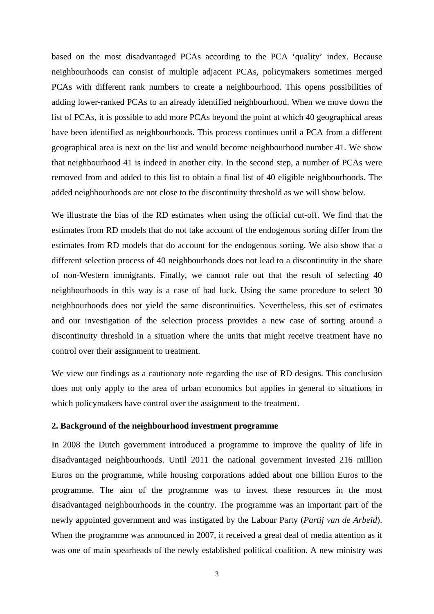based on the most disadvantaged PCAs according to the PCA 'quality' index. Because neighbourhoods can consist of multiple adjacent PCAs, policymakers sometimes merged PCAs with different rank numbers to create a neighbourhood. This opens possibilities of adding lower-ranked PCAs to an already identified neighbourhood. When we move down the list of PCAs, it is possible to add more PCAs beyond the point at which 40 geographical areas have been identified as neighbourhoods. This process continues until a PCA from a different geographical area is next on the list and would become neighbourhood number 41. We show that neighbourhood 41 is indeed in another city. In the second step, a number of PCAs were removed from and added to this list to obtain a final list of 40 eligible neighbourhoods. The added neighbourhoods are not close to the discontinuity threshold as we will show below.

We illustrate the bias of the RD estimates when using the official cut-off. We find that the estimates from RD models that do not take account of the endogenous sorting differ from the estimates from RD models that do account for the endogenous sorting. We also show that a different selection process of 40 neighbourhoods does not lead to a discontinuity in the share of non-Western immigrants. Finally, we cannot rule out that the result of selecting 40 neighbourhoods in this way is a case of bad luck. Using the same procedure to select 30 neighbourhoods does not yield the same discontinuities. Nevertheless, this set of estimates and our investigation of the selection process provides a new case of sorting around a discontinuity threshold in a situation where the units that might receive treatment have no control over their assignment to treatment.

We view our findings as a cautionary note regarding the use of RD designs. This conclusion does not only apply to the area of urban economics but applies in general to situations in which policymakers have control over the assignment to the treatment.

#### **2. Background of the neighbourhood investment programme**

In 2008 the Dutch government introduced a programme to improve the quality of life in disadvantaged neighbourhoods. Until 2011 the national government invested 216 million Euros on the programme, while housing corporations added about one billion Euros to the programme. The aim of the programme was to invest these resources in the most disadvantaged neighbourhoods in the country. The programme was an important part of the newly appointed government and was instigated by the Labour Party (*Partij van de Arbeid*). When the programme was announced in 2007, it received a great deal of media attention as it was one of main spearheads of the newly established political coalition. A new ministry was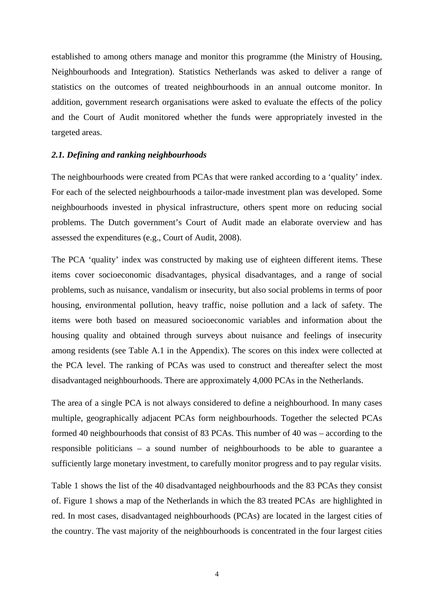established to among others manage and monitor this programme (the Ministry of Housing, Neighbourhoods and Integration). Statistics Netherlands was asked to deliver a range of statistics on the outcomes of treated neighbourhoods in an annual outcome monitor. In addition, government research organisations were asked to evaluate the effects of the policy and the Court of Audit monitored whether the funds were appropriately invested in the targeted areas.

#### *2.1. Defining and ranking neighbourhoods*

The neighbourhoods were created from PCAs that were ranked according to a 'quality' index. For each of the selected neighbourhoods a tailor-made investment plan was developed. Some neighbourhoods invested in physical infrastructure, others spent more on reducing social problems. The Dutch government's Court of Audit made an elaborate overview and has assessed the expenditures (e.g., Court of Audit, 2008).

The PCA 'quality' index was constructed by making use of eighteen different items. These items cover socioeconomic disadvantages, physical disadvantages, and a range of social problems, such as nuisance, vandalism or insecurity, but also social problems in terms of poor housing, environmental pollution, heavy traffic, noise pollution and a lack of safety. The items were both based on measured socioeconomic variables and information about the housing quality and obtained through surveys about nuisance and feelings of insecurity among residents (see Table A.1 in the Appendix). The scores on this index were collected at the PCA level. The ranking of PCAs was used to construct and thereafter select the most disadvantaged neighbourhoods. There are approximately 4,000 PCAs in the Netherlands.

The area of a single PCA is not always considered to define a neighbourhood. In many cases multiple, geographically adjacent PCAs form neighbourhoods. Together the selected PCAs formed 40 neighbourhoods that consist of 83 PCAs. This number of 40 was – according to the responsible politicians – a sound number of neighbourhoods to be able to guarantee a sufficiently large monetary investment, to carefully monitor progress and to pay regular visits.

Table 1 shows the list of the 40 disadvantaged neighbourhoods and the 83 PCAs they consist of. Figure 1 shows a map of the Netherlands in which the 83 treated PCAs are highlighted in red. In most cases, disadvantaged neighbourhoods (PCAs) are located in the largest cities of the country. The vast majority of the neighbourhoods is concentrated in the four largest cities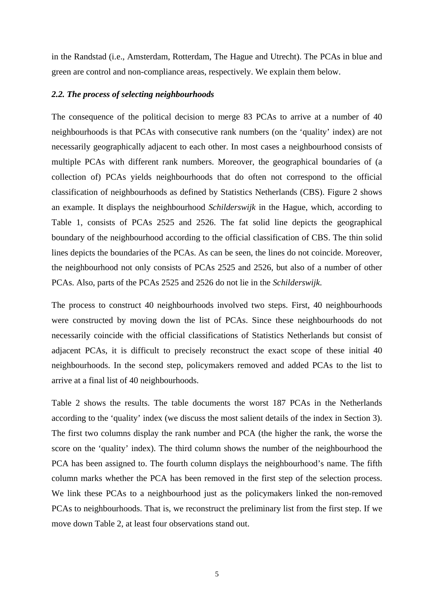in the Randstad (i.e., Amsterdam, Rotterdam, The Hague and Utrecht). The PCAs in blue and green are control and non-compliance areas, respectively. We explain them below.

#### *2.2. The process of selecting neighbourhoods*

The consequence of the political decision to merge 83 PCAs to arrive at a number of 40 neighbourhoods is that PCAs with consecutive rank numbers (on the 'quality' index) are not necessarily geographically adjacent to each other. In most cases a neighbourhood consists of multiple PCAs with different rank numbers. Moreover, the geographical boundaries of (a collection of) PCAs yields neighbourhoods that do often not correspond to the official classification of neighbourhoods as defined by Statistics Netherlands (CBS). Figure 2 shows an example. It displays the neighbourhood *Schilderswijk* in the Hague, which, according to Table 1, consists of PCAs 2525 and 2526. The fat solid line depicts the geographical boundary of the neighbourhood according to the official classification of CBS. The thin solid lines depicts the boundaries of the PCAs. As can be seen, the lines do not coincide. Moreover, the neighbourhood not only consists of PCAs 2525 and 2526, but also of a number of other PCAs. Also, parts of the PCAs 2525 and 2526 do not lie in the *Schilderswijk*.

The process to construct 40 neighbourhoods involved two steps. First, 40 neighbourhoods were constructed by moving down the list of PCAs. Since these neighbourhoods do not necessarily coincide with the official classifications of Statistics Netherlands but consist of adjacent PCAs, it is difficult to precisely reconstruct the exact scope of these initial 40 neighbourhoods. In the second step, policymakers removed and added PCAs to the list to arrive at a final list of 40 neighbourhoods.

Table 2 shows the results. The table documents the worst 187 PCAs in the Netherlands according to the 'quality' index (we discuss the most salient details of the index in Section 3). The first two columns display the rank number and PCA (the higher the rank, the worse the score on the 'quality' index). The third column shows the number of the neighbourhood the PCA has been assigned to. The fourth column displays the neighbourhood's name. The fifth column marks whether the PCA has been removed in the first step of the selection process. We link these PCAs to a neighbourhood just as the policymakers linked the non-removed PCAs to neighbourhoods. That is, we reconstruct the preliminary list from the first step. If we move down Table 2, at least four observations stand out.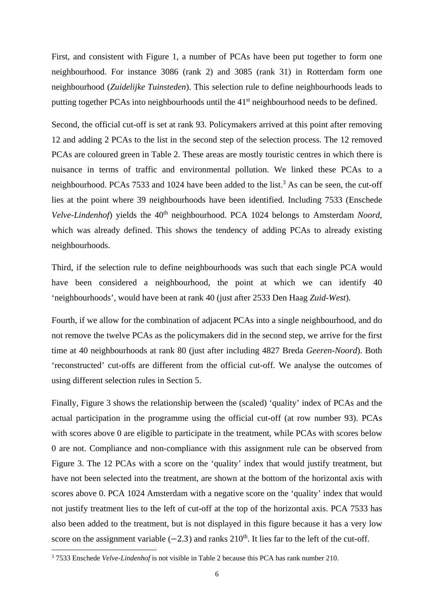First, and consistent with Figure 1, a number of PCAs have been put together to form one neighbourhood. For instance 3086 (rank 2) and 3085 (rank 31) in Rotterdam form one neighbourhood (*Zuidelijke Tuinsteden*). This selection rule to define neighbourhoods leads to putting together PCAs into neighbourhoods until the 41<sup>st</sup> neighbourhood needs to be defined.

Second, the official cut-off is set at rank 93. Policymakers arrived at this point after removing 12 and adding 2 PCAs to the list in the second step of the selection process. The 12 removed PCAs are coloured green in Table 2. These areas are mostly touristic centres in which there is nuisance in terms of traffic and environmental pollution. We linked these PCAs to a neighbourhood. PCAs 7533 and 1024 have been added to the list.<sup>3</sup> As can be seen, the cut-off lies at the point where 39 neighbourhoods have been identified. Including 7533 (Enschede *Velve-Lindenhof*) yields the 40<sup>th</sup> neighbourhood. PCA 1024 belongs to Amsterdam *Noord*, which was already defined. This shows the tendency of adding PCAs to already existing neighbourhoods.

Third, if the selection rule to define neighbourhoods was such that each single PCA would have been considered a neighbourhood, the point at which we can identify 40 'neighbourhoods', would have been at rank 40 (just after 2533 Den Haag *Zuid-West*).

Fourth, if we allow for the combination of adjacent PCAs into a single neighbourhood, and do not remove the twelve PCAs as the policymakers did in the second step, we arrive for the first time at 40 neighbourhoods at rank 80 (just after including 4827 Breda *Geeren-Noord*). Both 'reconstructed' cut-offs are different from the official cut-off. We analyse the outcomes of using different selection rules in Section 5.

Finally, Figure 3 shows the relationship between the (scaled) 'quality' index of PCAs and the actual participation in the programme using the official cut-off (at row number 93). PCAs with scores above 0 are eligible to participate in the treatment, while PCAs with scores below 0 are not. Compliance and non-compliance with this assignment rule can be observed from Figure 3. The 12 PCAs with a score on the 'quality' index that would justify treatment, but have not been selected into the treatment, are shown at the bottom of the horizontal axis with scores above 0. PCA 1024 Amsterdam with a negative score on the 'quality' index that would not justify treatment lies to the left of cut-off at the top of the horizontal axis. PCA 7533 has also been added to the treatment, but is not displayed in this figure because it has a very low score on the assignment variable  $(-2.3)$  and ranks  $210<sup>th</sup>$ . It lies far to the left of the cut-off.

 3 7533 Enschede *Velve-Lindenhof* is not visible in Table 2 because this PCA has rank number 210.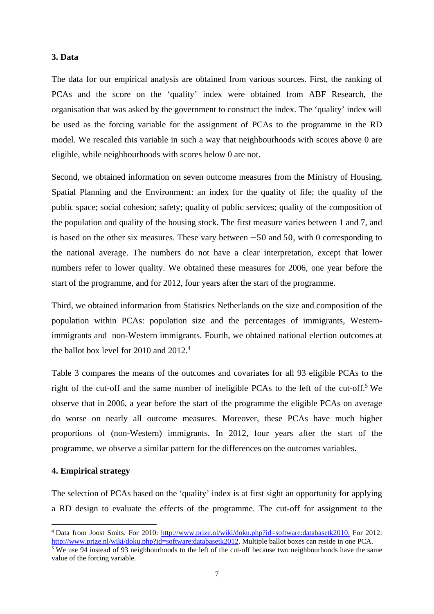#### **3. Data**

The data for our empirical analysis are obtained from various sources. First, the ranking of PCAs and the score on the 'quality' index were obtained from ABF Research, the organisation that was asked by the government to construct the index. The 'quality' index will be used as the forcing variable for the assignment of PCAs to the programme in the RD model. We rescaled this variable in such a way that neighbourhoods with scores above 0 are eligible, while neighbourhoods with scores below 0 are not.

Second, we obtained information on seven outcome measures from the Ministry of Housing, Spatial Planning and the Environment: an index for the quality of life; the quality of the public space; social cohesion; safety; quality of public services; quality of the composition of the population and quality of the housing stock. The first measure varies between 1 and 7, and is based on the other six measures. These vary between  $-50$  and 50, with 0 corresponding to the national average. The numbers do not have a clear interpretation, except that lower numbers refer to lower quality. We obtained these measures for 2006, one year before the start of the programme, and for 2012, four years after the start of the programme.

Third, we obtained information from Statistics Netherlands on the size and composition of the population within PCAs: population size and the percentages of immigrants, Westernimmigrants and non-Western immigrants. Fourth, we obtained national election outcomes at the ballot box level for 2010 and 2012.<sup>4</sup>

Table 3 compares the means of the outcomes and covariates for all 93 eligible PCAs to the right of the cut-off and the same number of ineligible PCAs to the left of the cut-off.<sup>5</sup> We observe that in 2006, a year before the start of the programme the eligible PCAs on average do worse on nearly all outcome measures. Moreover, these PCAs have much higher proportions of (non-Western) immigrants. In 2012, four years after the start of the programme, we observe a similar pattern for the differences on the outcomes variables.

#### **4. Empirical strategy**

The selection of PCAs based on the 'quality' index is at first sight an opportunity for applying a RD design to evaluate the effects of the programme. The cut-off for assignment to the

<sup>&</sup>lt;sup>4</sup> Data from Joost Smits. For 2010: http://www.prize.nl/wiki/doku.php?id=software:databasetk2010. For 2012: http://www.prize.nl/wiki/doku.php?id=software:databasetk2012. Multiple ballot boxes can reside in one PCA.

 $\frac{1}{5}$  We use 94 instead of 93 neighbourhoods to the left of the cut-off because two neighbourhoods have the same value of the forcing variable.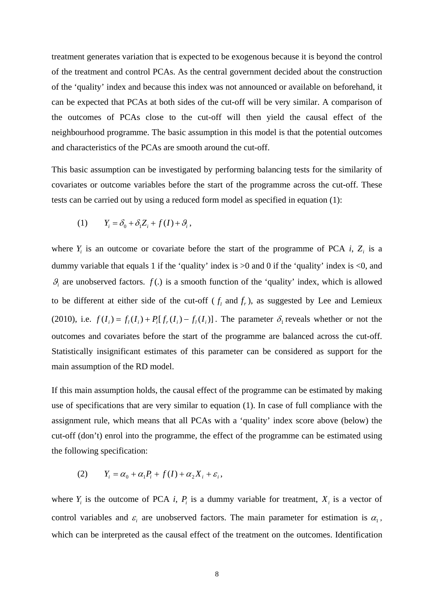treatment generates variation that is expected to be exogenous because it is beyond the control of the treatment and control PCAs. As the central government decided about the construction of the 'quality' index and because this index was not announced or available on beforehand, it can be expected that PCAs at both sides of the cut-off will be very similar. A comparison of the outcomes of PCAs close to the cut-off will then yield the causal effect of the neighbourhood programme. The basic assumption in this model is that the potential outcomes and characteristics of the PCAs are smooth around the cut-off.

This basic assumption can be investigated by performing balancing tests for the similarity of covariates or outcome variables before the start of the programme across the cut-off. These tests can be carried out by using a reduced form model as specified in equation (1):

$$
(1) \tY_i = \delta_0 + \delta_1 Z_i + f(I) + \mathcal{G}_i,
$$

where  $Y_i$  is an outcome or covariate before the start of the programme of PCA  $i$ ,  $Z_i$  is a dummy variable that equals 1 if the 'quality' index is >0 and 0 if the 'quality' index is <0, and  $\mathcal{G}_i$  are unobserved factors.  $f(.)$  is a smooth function of the 'quality' index, which is allowed to be different at either side of the cut-off ( $f_l$  and  $f_r$ ), as suggested by Lee and Lemieux (2010), i.e.  $f(I_i) = f_I(I_i) + P_I[f_r(I_i) - f_I(I_i)]$ . The parameter  $\delta_I$  reveals whether or not the outcomes and covariates before the start of the programme are balanced across the cut-off. Statistically insignificant estimates of this parameter can be considered as support for the main assumption of the RD model.

If this main assumption holds, the causal effect of the programme can be estimated by making use of specifications that are very similar to equation (1). In case of full compliance with the assignment rule, which means that all PCAs with a 'quality' index score above (below) the cut-off (don't) enrol into the programme, the effect of the programme can be estimated using the following specification:

$$
(2) \tY_i = \alpha_0 + \alpha_1 P_i + f(I) + \alpha_2 X_i + \varepsilon_i,
$$

where  $Y_i$  is the outcome of PCA *i*,  $P_i$  is a dummy variable for treatment,  $X_i$  is a vector of control variables and  $\varepsilon$  are unobserved factors. The main parameter for estimation is  $\alpha$ <sub>1</sub>, which can be interpreted as the causal effect of the treatment on the outcomes. Identification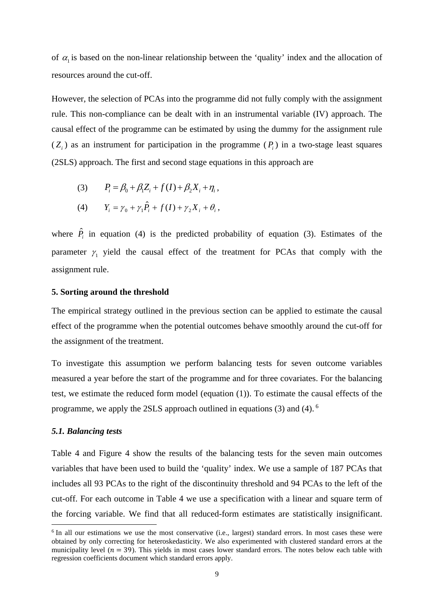of  $\alpha_1$  is based on the non-linear relationship between the 'quality' index and the allocation of resources around the cut-off.

However, the selection of PCAs into the programme did not fully comply with the assignment rule. This non-compliance can be dealt with in an instrumental variable (IV) approach. The causal effect of the programme can be estimated by using the dummy for the assignment rule  $(Z_i)$  as an instrument for participation in the programme  $(P_i)$  in a two-stage least squares (2SLS) approach. The first and second stage equations in this approach are

(3) 
$$
P_i = \beta_0 + \beta_1 Z_i + f(I) + \beta_2 X_i + \eta_i,
$$
  
(4) 
$$
Y_i = \gamma_0 + \gamma_1 \hat{P}_i + f(I) + \gamma_2 X_i + \theta_i,
$$

where  $\hat{P}_i$  in equation (4) is the predicted probability of equation (3). Estimates of the parameter  $\gamma$ , yield the causal effect of the treatment for PCAs that comply with the assignment rule.

#### **5. Sorting around the threshold**

The empirical strategy outlined in the previous section can be applied to estimate the causal effect of the programme when the potential outcomes behave smoothly around the cut-off for the assignment of the treatment.

To investigate this assumption we perform balancing tests for seven outcome variables measured a year before the start of the programme and for three covariates. For the balancing test, we estimate the reduced form model (equation (1)). To estimate the causal effects of the programme, we apply the 2SLS approach outlined in equations (3) and (4). 6

#### *5.1. Balancing tests*

Table 4 and Figure 4 show the results of the balancing tests for the seven main outcomes variables that have been used to build the 'quality' index. We use a sample of 187 PCAs that includes all 93 PCAs to the right of the discontinuity threshold and 94 PCAs to the left of the cut-off. For each outcome in Table 4 we use a specification with a linear and square term of the forcing variable. We find that all reduced-form estimates are statistically insignificant.

<sup>&</sup>lt;sup>6</sup> In all our estimations we use the most conservative (i.e., largest) standard errors. In most cases these were obtained by only correcting for heteroskedasticity. We also experimented with clustered standard errors at the municipality level ( $n = 39$ ). This yields in most cases lower standard errors. The notes below each table with regression coefficients document which standard errors apply.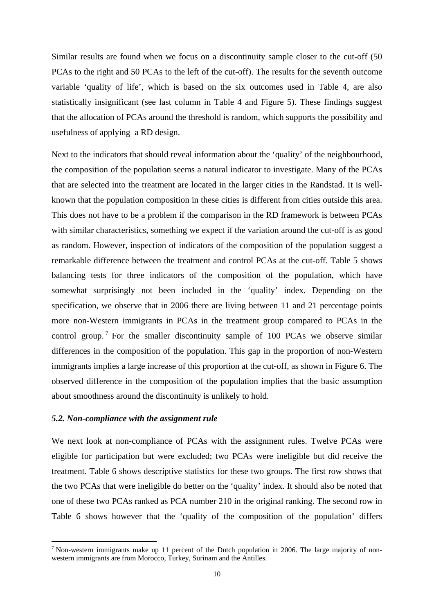Similar results are found when we focus on a discontinuity sample closer to the cut-off (50 PCAs to the right and 50 PCAs to the left of the cut-off). The results for the seventh outcome variable 'quality of life', which is based on the six outcomes used in Table 4, are also statistically insignificant (see last column in Table 4 and Figure 5). These findings suggest that the allocation of PCAs around the threshold is random, which supports the possibility and usefulness of applying a RD design.

Next to the indicators that should reveal information about the 'quality' of the neighbourhood, the composition of the population seems a natural indicator to investigate. Many of the PCAs that are selected into the treatment are located in the larger cities in the Randstad. It is wellknown that the population composition in these cities is different from cities outside this area. This does not have to be a problem if the comparison in the RD framework is between PCAs with similar characteristics, something we expect if the variation around the cut-off is as good as random. However, inspection of indicators of the composition of the population suggest a remarkable difference between the treatment and control PCAs at the cut-off. Table 5 shows balancing tests for three indicators of the composition of the population, which have somewhat surprisingly not been included in the 'quality' index. Depending on the specification, we observe that in 2006 there are living between 11 and 21 percentage points more non-Western immigrants in PCAs in the treatment group compared to PCAs in the control group.<sup>7</sup> For the smaller discontinuity sample of 100 PCAs we observe similar differences in the composition of the population. This gap in the proportion of non-Western immigrants implies a large increase of this proportion at the cut-off, as shown in Figure 6. The observed difference in the composition of the population implies that the basic assumption about smoothness around the discontinuity is unlikely to hold.

#### *5.2. Non-compliance with the assignment rule*

We next look at non-compliance of PCAs with the assignment rules. Twelve PCAs were eligible for participation but were excluded; two PCAs were ineligible but did receive the treatment. Table 6 shows descriptive statistics for these two groups. The first row shows that the two PCAs that were ineligible do better on the 'quality' index. It should also be noted that one of these two PCAs ranked as PCA number 210 in the original ranking. The second row in Table 6 shows however that the 'quality of the composition of the population' differs

<sup>&</sup>lt;sup>7</sup> Non-western immigrants make up 11 percent of the Dutch population in 2006. The large majority of nonwestern immigrants are from Morocco, Turkey, Surinam and the Antilles.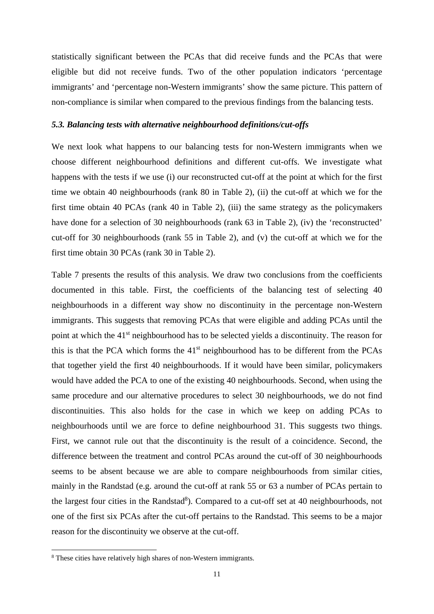statistically significant between the PCAs that did receive funds and the PCAs that were eligible but did not receive funds. Two of the other population indicators 'percentage immigrants' and 'percentage non-Western immigrants' show the same picture. This pattern of non-compliance is similar when compared to the previous findings from the balancing tests.

#### *5.3. Balancing tests with alternative neighbourhood definitions/cut-offs*

We next look what happens to our balancing tests for non-Western immigrants when we choose different neighbourhood definitions and different cut-offs. We investigate what happens with the tests if we use (i) our reconstructed cut-off at the point at which for the first time we obtain 40 neighbourhoods (rank 80 in Table 2), (ii) the cut-off at which we for the first time obtain 40 PCAs (rank 40 in Table 2), (iii) the same strategy as the policymakers have done for a selection of 30 neighbourhoods (rank 63 in Table 2), (iv) the 'reconstructed' cut-off for 30 neighbourhoods (rank 55 in Table 2), and (v) the cut-off at which we for the first time obtain 30 PCAs (rank 30 in Table 2).

Table 7 presents the results of this analysis. We draw two conclusions from the coefficients documented in this table. First, the coefficients of the balancing test of selecting 40 neighbourhoods in a different way show no discontinuity in the percentage non-Western immigrants. This suggests that removing PCAs that were eligible and adding PCAs until the point at which the 41<sup>st</sup> neighbourhood has to be selected yields a discontinuity. The reason for this is that the PCA which forms the 41st neighbourhood has to be different from the PCAs that together yield the first 40 neighbourhoods. If it would have been similar, policymakers would have added the PCA to one of the existing 40 neighbourhoods. Second, when using the same procedure and our alternative procedures to select 30 neighbourhoods, we do not find discontinuities. This also holds for the case in which we keep on adding PCAs to neighbourhoods until we are force to define neighbourhood 31. This suggests two things. First, we cannot rule out that the discontinuity is the result of a coincidence. Second, the difference between the treatment and control PCAs around the cut-off of 30 neighbourhoods seems to be absent because we are able to compare neighbourhoods from similar cities, mainly in the Randstad (e.g. around the cut-off at rank 55 or 63 a number of PCAs pertain to the largest four cities in the Randstad<sup>8</sup>). Compared to a cut-off set at 40 neighbourhoods, not one of the first six PCAs after the cut-off pertains to the Randstad. This seems to be a major reason for the discontinuity we observe at the cut-off.

<sup>8</sup> These cities have relatively high shares of non-Western immigrants.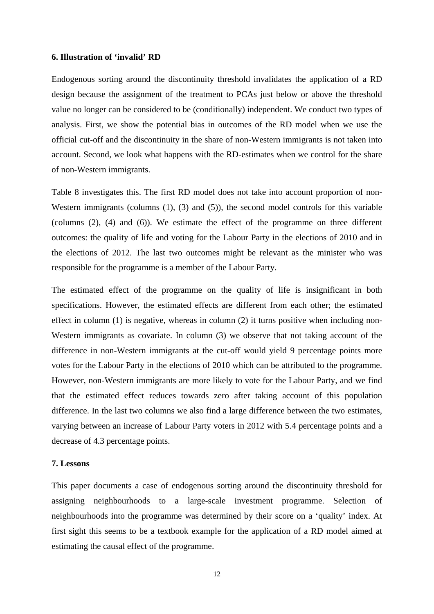#### **6. Illustration of 'invalid' RD**

Endogenous sorting around the discontinuity threshold invalidates the application of a RD design because the assignment of the treatment to PCAs just below or above the threshold value no longer can be considered to be (conditionally) independent. We conduct two types of analysis. First, we show the potential bias in outcomes of the RD model when we use the official cut-off and the discontinuity in the share of non-Western immigrants is not taken into account. Second, we look what happens with the RD-estimates when we control for the share of non-Western immigrants.

Table 8 investigates this. The first RD model does not take into account proportion of non-Western immigrants (columns (1), (3) and (5)), the second model controls for this variable (columns (2), (4) and (6)). We estimate the effect of the programme on three different outcomes: the quality of life and voting for the Labour Party in the elections of 2010 and in the elections of 2012. The last two outcomes might be relevant as the minister who was responsible for the programme is a member of the Labour Party.

The estimated effect of the programme on the quality of life is insignificant in both specifications. However, the estimated effects are different from each other; the estimated effect in column (1) is negative, whereas in column (2) it turns positive when including non-Western immigrants as covariate. In column (3) we observe that not taking account of the difference in non-Western immigrants at the cut-off would yield 9 percentage points more votes for the Labour Party in the elections of 2010 which can be attributed to the programme. However, non-Western immigrants are more likely to vote for the Labour Party, and we find that the estimated effect reduces towards zero after taking account of this population difference. In the last two columns we also find a large difference between the two estimates, varying between an increase of Labour Party voters in 2012 with 5.4 percentage points and a decrease of 4.3 percentage points.

#### **7. Lessons**

This paper documents a case of endogenous sorting around the discontinuity threshold for assigning neighbourhoods to a large-scale investment programme. Selection of neighbourhoods into the programme was determined by their score on a 'quality' index. At first sight this seems to be a textbook example for the application of a RD model aimed at estimating the causal effect of the programme.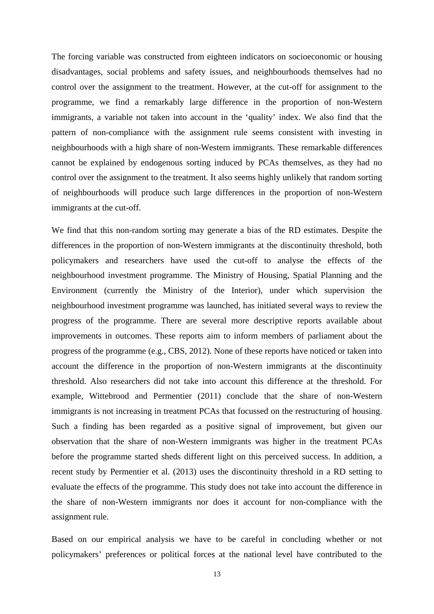The forcing variable was constructed from eighteen indicators on socioeconomic or housing disadvantages, social problems and safety issues, and neighbourhoods themselves had no control over the assignment to the treatment. However, at the cut-off for assignment to the programme, we find a remarkably large difference in the proportion of non-Western immigrants, a variable not taken into account in the 'quality' index. We also find that the pattern of non-compliance with the assignment rule seems consistent with investing in neighbourhoods with a high share of non-Western immigrants. These remarkable differences cannot be explained by endogenous sorting induced by PCAs themselves, as they had no control over the assignment to the treatment. It also seems highly unlikely that random sorting of neighbourhoods will produce such large differences in the proportion of non-Western immigrants at the cut-off.

We find that this non-random sorting may generate a bias of the RD estimates. Despite the differences in the proportion of non-Western immigrants at the discontinuity threshold, both policymakers and researchers have used the cut-off to analyse the effects of the neighbourhood investment programme. The Ministry of Housing, Spatial Planning and the Environment (currently the Ministry of the Interior), under which supervision the neighbourhood investment programme was launched, has initiated several ways to review the progress of the programme. There are several more descriptive reports available about improvements in outcomes. These reports aim to inform members of parliament about the progress of the programme (e.g., CBS, 2012). None of these reports have noticed or taken into account the difference in the proportion of non-Western immigrants at the discontinuity threshold. Also researchers did not take into account this difference at the threshold. For example, Wittebrood and Permentier (2011) conclude that the share of non-Western immigrants is not increasing in treatment PCAs that focussed on the restructuring of housing. Such a finding has been regarded as a positive signal of improvement, but given our observation that the share of non-Western immigrants was higher in the treatment PCAs before the programme started sheds different light on this perceived success. In addition, a recent study by Permentier et al. (2013) uses the discontinuity threshold in a RD setting to evaluate the effects of the programme. This study does not take into account the difference in the share of non-Western immigrants nor does it account for non-compliance with the assignment rule.

Based on our empirical analysis we have to be careful in concluding whether or not policymakers' preferences or political forces at the national level have contributed to the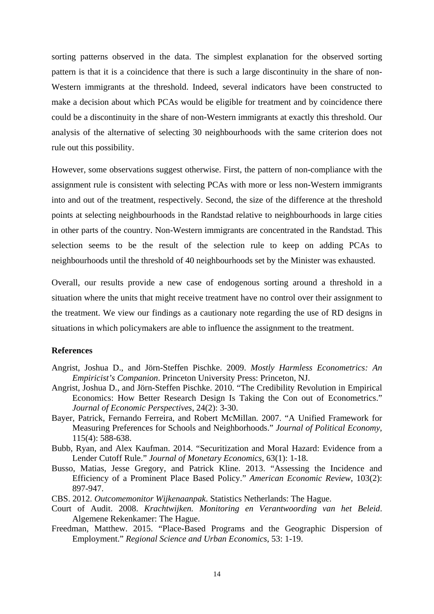sorting patterns observed in the data. The simplest explanation for the observed sorting pattern is that it is a coincidence that there is such a large discontinuity in the share of non-Western immigrants at the threshold. Indeed, several indicators have been constructed to make a decision about which PCAs would be eligible for treatment and by coincidence there could be a discontinuity in the share of non-Western immigrants at exactly this threshold. Our analysis of the alternative of selecting 30 neighbourhoods with the same criterion does not rule out this possibility.

However, some observations suggest otherwise. First, the pattern of non-compliance with the assignment rule is consistent with selecting PCAs with more or less non-Western immigrants into and out of the treatment, respectively. Second, the size of the difference at the threshold points at selecting neighbourhoods in the Randstad relative to neighbourhoods in large cities in other parts of the country. Non-Western immigrants are concentrated in the Randstad. This selection seems to be the result of the selection rule to keep on adding PCAs to neighbourhoods until the threshold of 40 neighbourhoods set by the Minister was exhausted.

Overall, our results provide a new case of endogenous sorting around a threshold in a situation where the units that might receive treatment have no control over their assignment to the treatment. We view our findings as a cautionary note regarding the use of RD designs in situations in which policymakers are able to influence the assignment to the treatment.

#### **References**

- Angrist, Joshua D., and Jörn-Steffen Pischke. 2009. *Mostly Harmless Econometrics: An Empiricist's Companion*. Princeton University Press: Princeton, NJ.
- Angrist, Joshua D., and Jörn-Steffen Pischke. 2010. "The Credibility Revolution in Empirical Economics: How Better Research Design Is Taking the Con out of Econometrics." *Journal of Economic Perspectives*, 24(2): 3-30.
- Bayer, Patrick, Fernando Ferreira, and Robert McMillan. 2007. "A Unified Framework for Measuring Preferences for Schools and Neighborhoods." *Journal of Political Economy*, 115(4): 588-638.
- Bubb, Ryan, and Alex Kaufman. 2014. "Securitization and Moral Hazard: Evidence from a Lender Cutoff Rule." *Journal of Monetary Economics*, 63(1): 1-18.
- Busso, Matias, Jesse Gregory, and Patrick Kline. 2013. "Assessing the Incidence and Efficiency of a Prominent Place Based Policy." *American Economic Review*, 103(2): 897-947.
- CBS. 2012. *Outcomemonitor Wijkenaanpak*. Statistics Netherlands: The Hague.
- Court of Audit. 2008. *Krachtwijken. Monitoring en Verantwoording van het Beleid*. Algemene Rekenkamer: The Hague.
- Freedman, Matthew. 2015. "Place-Based Programs and the Geographic Dispersion of Employment." *Regional Science and Urban Economics*, 53: 1-19.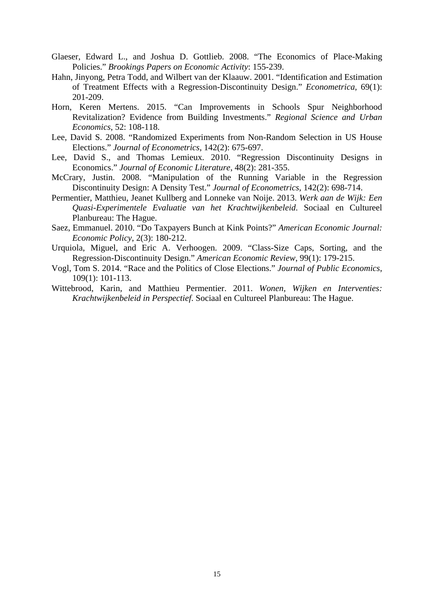- Glaeser, Edward L., and Joshua D. Gottlieb. 2008. "The Economics of Place-Making Policies." *Brookings Papers on Economic Activity*: 155-239.
- Hahn, Jinyong, Petra Todd, and Wilbert van der Klaauw. 2001. "Identification and Estimation of Treatment Effects with a Regression-Discontinuity Design." *Econometrica*, 69(1): 201-209.
- Horn, Keren Mertens. 2015. "Can Improvements in Schools Spur Neighborhood Revitalization? Evidence from Building Investments." *Regional Science and Urban Economics*, 52: 108-118.
- Lee, David S. 2008. "Randomized Experiments from Non-Random Selection in US House Elections." *Journal of Econometrics*, 142(2): 675-697.
- Lee, David S., and Thomas Lemieux. 2010. "Regression Discontinuity Designs in Economics." *Journal of Economic Literature*, 48(2): 281-355.
- McCrary, Justin. 2008. "Manipulation of the Running Variable in the Regression Discontinuity Design: A Density Test." *Journal of Econometrics*, 142(2): 698-714.
- Permentier, Matthieu, Jeanet Kullberg and Lonneke van Noije. 2013. *Werk aan de Wijk: Een Quasi-Experimentele Evaluatie van het Krachtwijkenbeleid*. Sociaal en Cultureel Planbureau: The Hague.
- Saez, Emmanuel. 2010. "Do Taxpayers Bunch at Kink Points?" *American Economic Journal: Economic Policy*, 2(3): 180-212.
- Urquiola, Miguel, and Eric A. Verhoogen. 2009. "Class-Size Caps, Sorting, and the Regression-Discontinuity Design." *American Economic Review*, 99(1): 179-215.
- Vogl, Tom S. 2014. "Race and the Politics of Close Elections." *Journal of Public Economics*, 109(1): 101-113.
- Wittebrood, Karin, and Matthieu Permentier. 2011. *Wonen, Wijken en Interventies: Krachtwijkenbeleid in Perspectief*. Sociaal en Cultureel Planbureau: The Hague.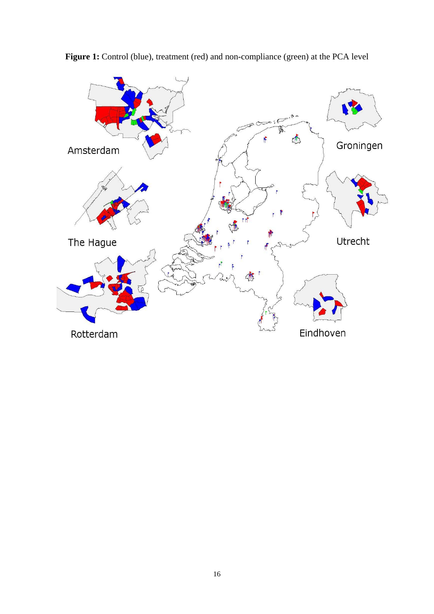

Figure 1: Control (blue), treatment (red) and non-compliance (green) at the PCA level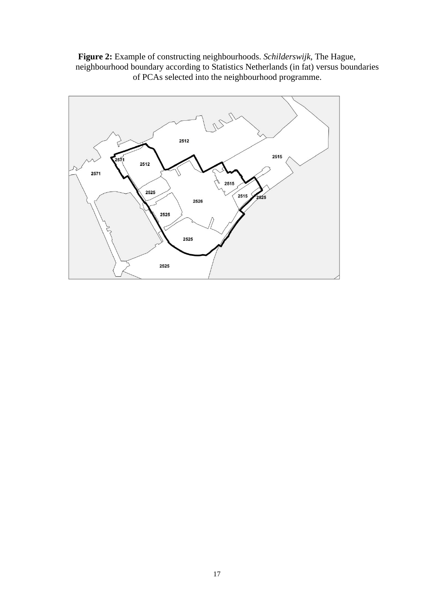**Figure 2:** Example of constructing neighbourhoods. *Schilderswijk*, The Hague, neighbourhood boundary according to Statistics Netherlands (in fat) versus boundaries of PCAs selected into the neighbourhood programme.

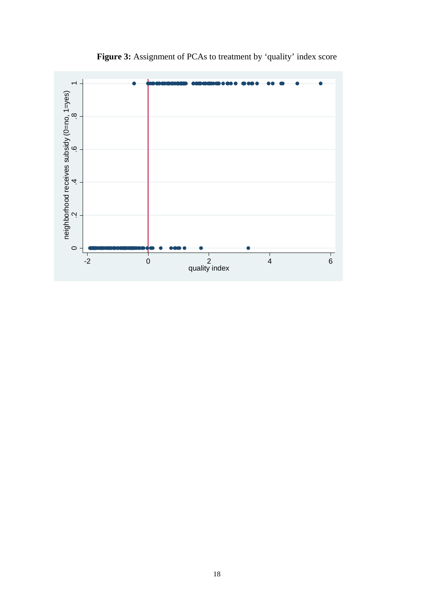

Figure 3: Assignment of PCAs to treatment by 'quality' index score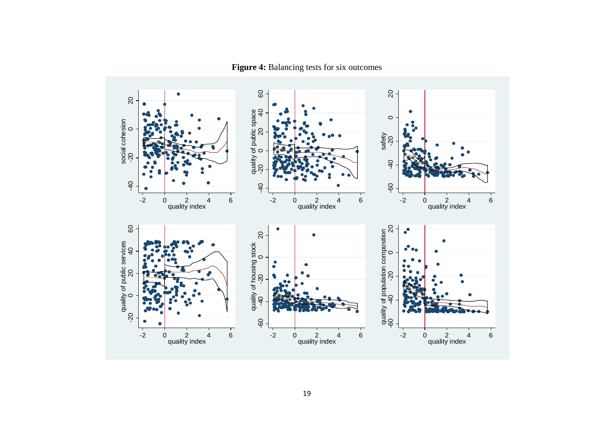$\overline{Q}$  - $\mbox{6}$  20 40 60 20  $\bullet$ 20 ೧<br>೦ quality of public space<br> $-20$  0 20 40 quality of public space  $\circ$ social cohesion<br>-20<br>0 social cohesion safety -60 -40 -20 -40 -20  $-40$ -40 -20  $-40$  $-40$ 9  $\frac{1}{2}$ -2-2 0 2 4 6 0 2 4 6 0 2 4 6 quality index quality index quality index  $\mbox{6}$ quality of population composition<br>-60  $\frac{0}{40}$  -20  $\frac{0}{20}$  20 40 60 20<br>0  $\epsilon$  $\bullet$ 20 quality of population composition 20 quality of housing stock<br>-40 -20 0 quality of public services quality of housing stock  $\bullet$ ÌФ.  $\epsilon$ -60 -40 -20 -60 -40 -20  $\circ$ -20  $60$  $-2$ -2-2 0 2 4 6 0 2 4 6 0 2 4 6 quality index quality index quality index

**Figure 4:** Balancing tests for six outcomes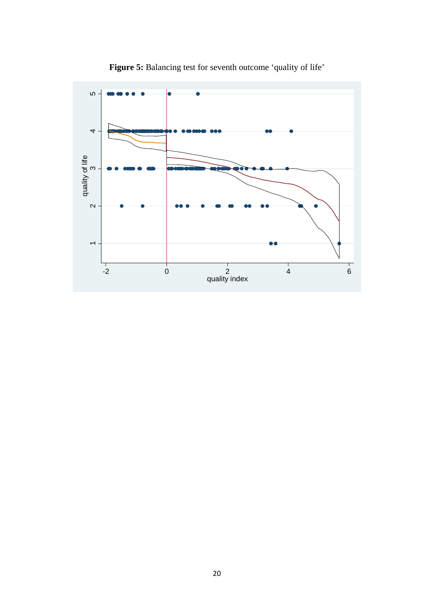

**Figure 5:** Balancing test for seventh outcome 'quality of life'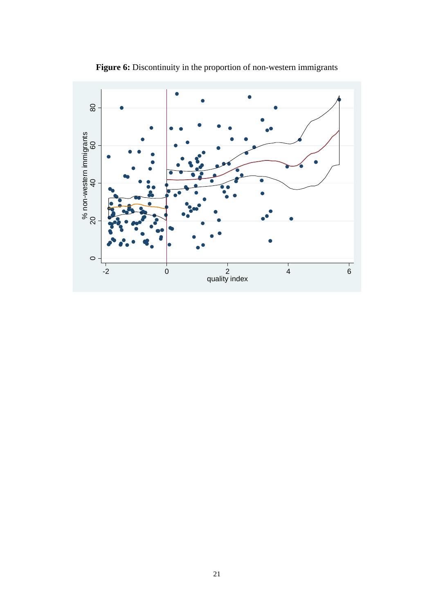

Figure 6: Discontinuity in the proportion of non-western immigrants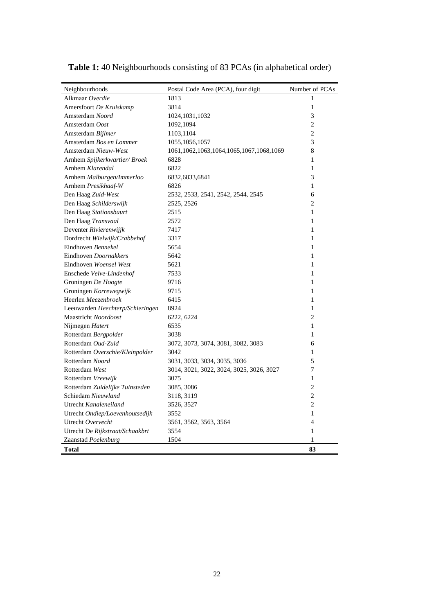| Neighbourhoods                   | Postal Code Area (PCA), four digit             | Number of PCAs |
|----------------------------------|------------------------------------------------|----------------|
| Alkmaar Overdie                  | 1813                                           | 1              |
| Amersfoort De Kruiskamp          | 3814                                           | $\mathbf{1}$   |
| Amsterdam Noord                  | 1024, 1031, 1032                               | 3              |
| Amsterdam Oost                   | 1092,1094                                      | $\overline{c}$ |
| Amsterdam Bijlmer                | 1103,1104                                      | $\overline{c}$ |
| Amsterdam Bos en Lommer          | 1055, 1056, 1057                               | 3              |
| Amsterdam Nieuw-West             | 1061, 1062, 1063, 1064, 1065, 1067, 1068, 1069 | 8              |
| Arnhem Spijkerkwartier/Broek     | 6828                                           | 1              |
| Arnhem Klarendal                 | 6822                                           | 1              |
| Arnhem Malburgen/Immerloo        | 6832,6833,6841                                 | 3              |
| Arnhem Presikhaaf-W              | 6826                                           | 1              |
| Den Haag Zuid-West               | 2532, 2533, 2541, 2542, 2544, 2545             | 6              |
| Den Haag Schilderswijk           | 2525, 2526                                     | 2              |
| Den Haag Stationsbuurt           | 2515                                           | 1              |
| Den Haag Transvaal               | 2572                                           | 1              |
| Deventer Rivierenwijjk           | 7417                                           | 1              |
| Dordrecht Wielwijk/Crabbehof     | 3317                                           | 1              |
| Eindhoven Bennekel               | 5654                                           | 1              |
| Eindhoven Doornakkers            | 5642                                           | $\mathbf{1}$   |
| Eindhoven Woensel West           | 5621                                           | 1              |
| Enschede Velve-Lindenhof         | 7533                                           | 1              |
| Groningen De Hoogte              | 9716                                           | 1              |
| Groningen Korrewegwijk           | 9715                                           | 1              |
| Heerlen Meezenbroek              | 6415                                           | 1              |
| Leeuwarden Heechterp/Schieringen | 8924                                           | 1              |
| Maastricht Noordoost             | 6222, 6224                                     | 2              |
| Nijmegen Hatert                  | 6535                                           | 1              |
| Rotterdam Bergpolder             | 3038                                           | 1              |
| Rotterdam Oud-Zuid               | 3072, 3073, 3074, 3081, 3082, 3083             | 6              |
| Rotterdam Overschie/Kleinpolder  | 3042                                           | 1              |
| Rotterdam Noord                  | 3031, 3033, 3034, 3035, 3036                   | 5              |
| Rotterdam West                   | 3014, 3021, 3022, 3024, 3025, 3026, 3027       | 7              |
| Rotterdam Vreewijk               | 3075                                           | 1              |
| Rotterdam Zuidelijke Tuinsteden  | 3085, 3086                                     | $\overline{2}$ |
| Schiedam Nieuwland               | 3118, 3119                                     | $\overline{c}$ |
| Utrecht Kanaleneiland            | 3526, 3527                                     | $\overline{c}$ |
| Utrecht Ondiep/Loevenhoutsedijk  | 3552                                           | 1              |
| Utrecht Overvecht                | 3561, 3562, 3563, 3564                         | 4              |
| Utrecht De Rijkstraat/Schaakbrt  | 3554                                           | 1              |
| Zaanstad Poelenburg              | 1504                                           | 1              |
| <b>Total</b>                     |                                                | 83             |

**Table 1:** 40 Neighbourhoods consisting of 83 PCAs (in alphabetical order)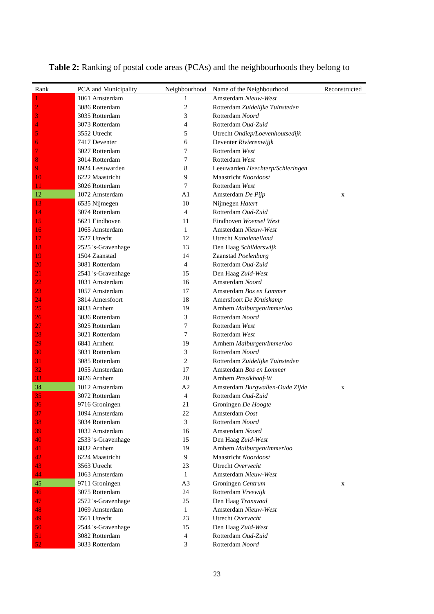| Rank           | PCA and Municipality | Neighbourhood  | Name of the Neighbourhood        | Reconstructed |
|----------------|----------------------|----------------|----------------------------------|---------------|
| 1              | 1061 Amsterdam       | 1              | Amsterdam Nieuw-West             |               |
| $\overline{c}$ | 3086 Rotterdam       | 2              | Rotterdam Zuidelijke Tuinsteden  |               |
| 3              | 3035 Rotterdam       | 3              | Rotterdam Noord                  |               |
| 4              | 3073 Rotterdam       | 4              | Rotterdam Oud-Zuid               |               |
| 5              | 3552 Utrecht         | 5              | Utrecht Ondiep/Loevenhoutsedijk  |               |
| 6              | 7417 Deventer        | 6              | Deventer Rivierenwijjk           |               |
| 7              | 3027 Rotterdam       | 7              | Rotterdam West                   |               |
| 8              | 3014 Rotterdam       | 7              | Rotterdam West                   |               |
| 9              | 8924 Leeuwarden      | 8              | Leeuwarden Heechterp/Schieringen |               |
| 10             | 6222 Maastricht      | 9              | Maastricht Noordoost             |               |
| 11             | 3026 Rotterdam       | 7              | Rotterdam West                   |               |
| 12             | 1072 Amsterdam       | A1             | Amsterdam De Pijp                | X             |
| 13             | 6535 Nijmegen        | 10             | Nijmegen Hatert                  |               |
| 14             | 3074 Rotterdam       | $\overline{4}$ | Rotterdam Oud-Zuid               |               |
| 15             | 5621 Eindhoven       | 11             | Eindhoven Woensel West           |               |
| 16             | 1065 Amsterdam       | $\mathbf{1}$   | Amsterdam Nieuw-West             |               |
| 17             | 3527 Utrecht         | 12             | Utrecht Kanaleneiland            |               |
| 18             | 2525 's-Gravenhage   | 13             | Den Haag Schilderswijk           |               |
| 19             | 1504 Zaanstad        | 14             | Zaanstad Poelenburg              |               |
| 20             | 3081 Rotterdam       | 4              | Rotterdam Oud-Zuid               |               |
| 21             | 2541 's-Gravenhage   | 15             | Den Haag Zuid-West               |               |
| 22             | 1031 Amsterdam       | 16             | Amsterdam Noord                  |               |
| 23             | 1057 Amsterdam       | 17             | Amsterdam Bos en Lommer          |               |
| 24             | 3814 Amersfoort      | 18             | Amersfoort De Kruiskamp          |               |
| 25             | 6833 Arnhem          | 19             | Arnhem Malburgen/Immerloo        |               |
| 26             | 3036 Rotterdam       | 3              | Rotterdam Noord                  |               |
| 27             | 3025 Rotterdam       | 7              | Rotterdam West                   |               |
| 28             | 3021 Rotterdam       | 7              | Rotterdam West                   |               |
| 29             | 6841 Arnhem          | 19             | Arnhem Malburgen/Immerloo        |               |
| 30             | 3031 Rotterdam       | 3              | Rotterdam Noord                  |               |
| 31             | 3085 Rotterdam       | 2              | Rotterdam Zuidelijke Tuinsteden  |               |
| 32             | 1055 Amsterdam       | 17             | Amsterdam Bos en Lommer          |               |
| 33             | 6826 Arnhem          | 20             | Arnhem Presikhaaf-W              |               |
| 34             | 1012 Amsterdam       | A2             | Amsterdam Burgwallen-Oude Zijde  | X             |
| 35             | 3072 Rotterdam       | 4              | Rotterdam Oud-Zuid               |               |
| 36             | 9716 Groningen       | 21             | Groningen De Hoogte              |               |
| 37             | 1094 Amsterdam       | 22             | Amsterdam Oost                   |               |
| 38             | 3034 Rotterdam       | 3              | Rotterdam Noord                  |               |
| 39             | 1032 Amsterdam       | 16             | Amsterdam Noord                  |               |
| 40             | 2533 's-Gravenhage   | 15             | Den Haag Zuid-West               |               |
| 41             | 6832 Arnhem          | 19             | Arnhem Malburgen/Immerloo        |               |
| 42             | 6224 Maastricht      | 9              | Maastricht Noordoost             |               |
| 43             | 3563 Utrecht         | 23             | Utrecht Overvecht                |               |
| 44             | 1063 Amsterdam       | 1              | Amsterdam Nieuw-West             |               |
| 45             | 9711 Groningen       | A <sub>3</sub> | Groningen Centrum                | X             |
| 46             | 3075 Rotterdam       | 24             | Rotterdam Vreewijk               |               |
| 47             | 2572 's-Gravenhage   | 25             | Den Haag Transvaal               |               |
| 48             | 1069 Amsterdam       | 1              | Amsterdam Nieuw-West             |               |
| 49             | 3561 Utrecht         | 23             | Utrecht Overvecht                |               |
| 50             | 2544 's-Gravenhage   | 15             | Den Haag Zuid-West               |               |
| 51             | 3082 Rotterdam       | 4              | Rotterdam Oud-Zuid               |               |
| 52             | 3033 Rotterdam       | 3              | Rotterdam Noord                  |               |

**Table 2:** Ranking of postal code areas (PCAs) and the neighbourhoods they belong to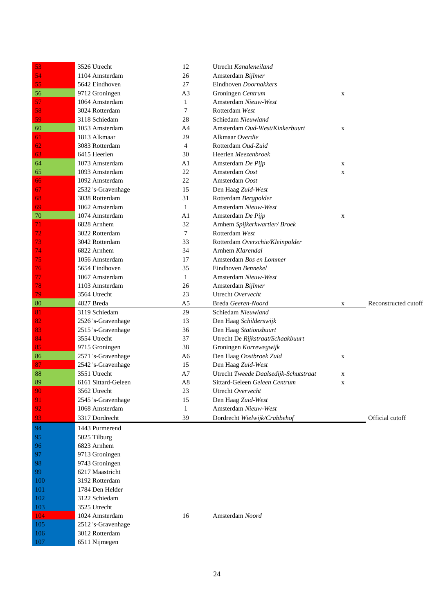| 53  | 3526 Utrecht        | 12             | Utrecht Kanaleneiland                 |             |                      |
|-----|---------------------|----------------|---------------------------------------|-------------|----------------------|
| 54  | 1104 Amsterdam      | 26             | Amsterdam Bijlmer                     |             |                      |
| 55  | 5642 Eindhoven      | 27             | Eindhoven Doornakkers                 |             |                      |
| 56  | 9712 Groningen      | A <sub>3</sub> | Groningen Centrum                     | X           |                      |
| 57  | 1064 Amsterdam      | 1              | Amsterdam Nieuw-West                  |             |                      |
| 58  | 3024 Rotterdam      | 7              | Rotterdam West                        |             |                      |
| 59  | 3118 Schiedam       | 28             | Schiedam Nieuwland                    |             |                      |
| 60  | 1053 Amsterdam      | A4             | Amsterdam Oud-West/Kinkerbuurt        | X           |                      |
| 61  | 1813 Alkmaar        | 29             | Alkmaar Overdie                       |             |                      |
| 62  | 3083 Rotterdam      | $\overline{4}$ | Rotterdam Oud-Zuid                    |             |                      |
| 63  | 6415 Heerlen        | 30             | Heerlen Meezenbroek                   |             |                      |
| 64  | 1073 Amsterdam      | A1             | Amsterdam De Pijp                     | X           |                      |
| 65  | 1093 Amsterdam      | 22             | Amsterdam Oost                        | $\mathbf X$ |                      |
| 66  | 1092 Amsterdam      | 22             | Amsterdam Oost                        |             |                      |
| 67  | 2532 's-Gravenhage  | 15             | Den Haag Zuid-West                    |             |                      |
| 68  | 3038 Rotterdam      | 31             | Rotterdam Bergpolder                  |             |                      |
| 69  | 1062 Amsterdam      | $\mathbf{1}$   | Amsterdam Nieuw-West                  |             |                      |
| 70  | 1074 Amsterdam      | A <sub>1</sub> | Amsterdam De Pijp                     | X           |                      |
| 71  | 6828 Arnhem         | 32             | Arnhem Spijkerkwartier/Broek          |             |                      |
| 72  | 3022 Rotterdam      | 7              | Rotterdam West                        |             |                      |
| 73  | 3042 Rotterdam      | 33             | Rotterdam Overschie/Kleinpolder       |             |                      |
| 74  | 6822 Arnhem         | 34             | Arnhem Klarendal                      |             |                      |
| 75  | 1056 Amsterdam      | 17             | Amsterdam Bos en Lommer               |             |                      |
| 76  | 5654 Eindhoven      | 35             | Eindhoven Bennekel                    |             |                      |
| 77  | 1067 Amsterdam      | $\mathbf{1}$   | Amsterdam Nieuw-West                  |             |                      |
| 78  | 1103 Amsterdam      | 26             | Amsterdam Bijlmer                     |             |                      |
| 79  | 3564 Utrecht        | 23             | Utrecht Overvecht                     |             |                      |
| 80  | 4827 Breda          | A5             | Breda Geeren-Noord                    | X           | Reconstructed cutoff |
| 81  | 3119 Schiedam       | 29             | Schiedam Nieuwland                    |             |                      |
|     |                     | 13             |                                       |             |                      |
| 82  | 2526 's-Gravenhage  |                | Den Haag Schilderswijk                |             |                      |
| 83  | 2515 's-Gravenhage  | 36             | Den Haag Stationsbuurt                |             |                      |
| 84  | 3554 Utrecht        | 37             | Utrecht De Rijkstraat/Schaakbuurt     |             |                      |
| 85  | 9715 Groningen      | 38             | Groningen Korrewegwijk                |             |                      |
| 86  | 2571 's-Gravenhage  | A6             | Den Haag Oostbroek Zuid               | $\mathbf X$ |                      |
| 87  | 2542 's-Gravenhage  | 15             | Den Haag Zuid-West                    |             |                      |
| 88  | 3551 Utrecht        | A7             | Utrecht Tweede Daalsedijk-Schutstraat | $\mathbf X$ |                      |
| 89  | 6161 Sittard-Geleen | A <sub>8</sub> | Sittard-Geleen Geleen Centrum         | X           |                      |
| 90  | 3562 Utrecht        | 23             | Utrecht Overvecht                     |             |                      |
| 91  | 2545 's-Gravenhage  | 15             | Den Haag Zuid-West                    |             |                      |
| 92  | 1068 Amsterdam      | $\mathbf{1}$   | Amsterdam Nieuw-West                  |             |                      |
| 93  | 3317 Dordrecht      | 39             | Dordrecht Wielwijk/Crabbehof          |             | Official cutoff      |
| 94  | 1443 Purmerend      |                |                                       |             |                      |
| 95  | 5025 Tilburg        |                |                                       |             |                      |
| 96  | 6823 Arnhem         |                |                                       |             |                      |
| 97  | 9713 Groningen      |                |                                       |             |                      |
| 98  | 9743 Groningen      |                |                                       |             |                      |
| 99  | 6217 Maastricht     |                |                                       |             |                      |
| 100 | 3192 Rotterdam      |                |                                       |             |                      |
| 101 | 1784 Den Helder     |                |                                       |             |                      |
| 102 | 3122 Schiedam       |                |                                       |             |                      |
| 103 | 3525 Utrecht        |                |                                       |             |                      |
| 104 | 1024 Amsterdam      | 16             | Amsterdam Noord                       |             |                      |
| 105 | 2512 's-Gravenhage  |                |                                       |             |                      |
| 106 | 3012 Rotterdam      |                |                                       |             |                      |
| 107 | 6511 Nijmegen       |                |                                       |             |                      |
|     |                     |                |                                       |             |                      |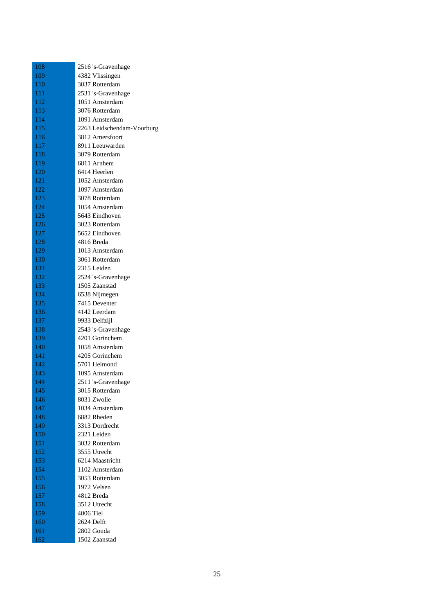| 108 | 2516 's-Gravenhage            |
|-----|-------------------------------|
| 109 | 4382 Vlissingen               |
| 110 | 3037 Rotterdam                |
| 111 | 2531 's-Gravenhage            |
| 112 | 1051 Amsterdam                |
| 113 | 3076 Rotterdam                |
| 114 | 1091 Amsterdam                |
| 115 | 2263 Leidschendam-Voorburg    |
| 116 | 3812 Amersfoort               |
| 117 | 8911 Leeuwarden               |
| 118 | 3079 Rotterdam                |
| 119 | 6811 Arnhem                   |
| 120 | 6414 Heerlen                  |
| 121 | 1052 Amsterdam                |
| 122 | 1097 Amsterdam                |
| 123 | 3078 Rotterdam                |
| 124 | 1054 Amsterdam                |
| 125 | 5643 Eindhoven                |
| 126 | 3023 Rotterdam                |
| 127 | 5652 Eindhoven                |
| 128 | 4816 Breda                    |
| 129 | 1013 Amsterdam                |
| 130 | 3061 Rotterdam                |
| 131 | 2315 Leiden                   |
| 132 | 2524 's-Gravenhage            |
| 133 | 1505 Zaanstad                 |
| 134 | 6538 Nijmegen                 |
| 135 | 7415 Deventer                 |
| 136 | 4142 Leerdam                  |
| 137 | 9933 Delfzijl                 |
| 138 | 2543 's-Gravenhage            |
| 139 | 4201 Gorinchem                |
| 140 | 1058 Amsterdam                |
| 141 | 4205 Gorinchem                |
| 142 | 5701 Helmond                  |
| 143 | 1095 Amsterdam                |
| 144 | 2511 's-Gravenhage            |
| 145 | 3015 Rotterdam                |
|     |                               |
| 146 | 8031 Zwolle                   |
| 147 | 1034 Amsterdam                |
| 148 | 6882 Rheden<br>3313 Dordrecht |
| 149 |                               |
| 150 | 2321 Leiden                   |
| 151 | 3032 Rotterdam                |
| 152 | 3555 Utrecht                  |
| 153 | 6214 Maastricht               |
| 154 | 1102 Amsterdam                |
| 155 | 3053 Rotterdam                |
| 156 | 1972 Velsen                   |
| 157 | 4812 Breda                    |
| 158 | 3512 Utrecht                  |
| 159 | 4006 Tiel                     |
| 160 | 2624 Delft                    |
| 161 | 2802 Gouda                    |
| 162 | 1502 Zaanstad                 |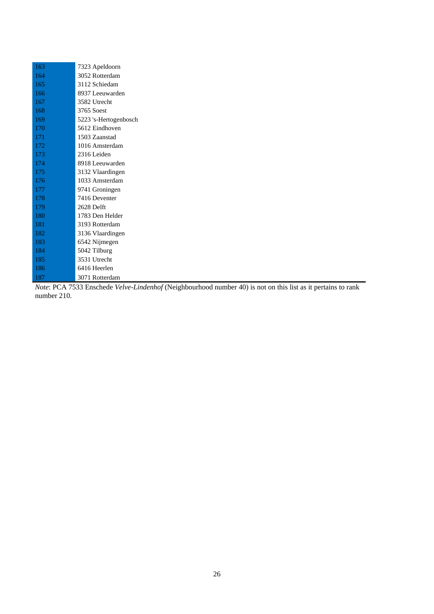| 163 | 7323 Apeldoorn        |
|-----|-----------------------|
| 164 | 3052 Rotterdam        |
| 165 | 3112 Schiedam         |
| 166 | 8937 Leeuwarden       |
| 167 | 3582 Utrecht          |
| 168 | 3765 Soest            |
| 169 | 5223 's-Hertogenbosch |
| 170 | 5612 Eindhoven        |
| 171 | 1503 Zaanstad         |
| 172 | 1016 Amsterdam        |
| 173 | 2316 Leiden           |
| 174 | 8918 Leeuwarden       |
| 175 | 3132 Vlaardingen      |
| 176 | 1033 Amsterdam        |
| 177 | 9741 Groningen        |
| 178 | 7416 Deventer         |
| 179 | 2628 Delft            |
| 180 | 1783 Den Helder       |
| 181 | 3193 Rotterdam        |
| 182 | 3136 Vlaardingen      |
| 183 | 6542 Nijmegen         |
| 184 | 5042 Tilburg          |
| 185 | 3531 Utrecht          |
| 186 | 6416 Heerlen          |
| 187 | 3071 Rotterdam        |

*Note*: PCA 7533 Enschede *Velve-Lindenhof* (Neighbourhood number 40) is not on this list as it pertains to rank number 210.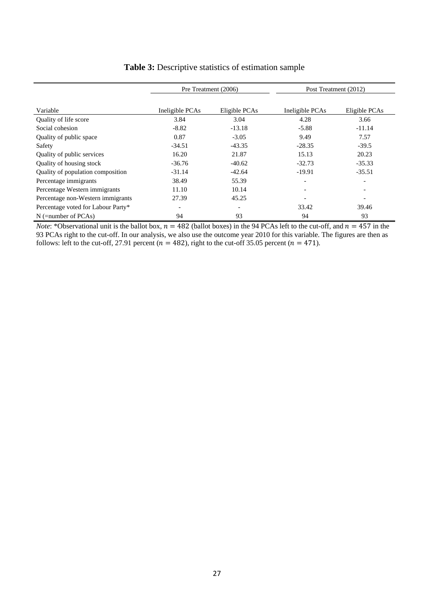|                                    | Pre Treatment (2006)     |                              | Post Treatment (2012)    |                          |
|------------------------------------|--------------------------|------------------------------|--------------------------|--------------------------|
|                                    |                          |                              |                          |                          |
| Variable                           | Ineligible PCAs          | Eligible PCAs                | Ineligible PCAs          | Eligible PCAs            |
| Quality of life score              | 3.84                     | 3.04                         | 4.28                     | 3.66                     |
| Social cohesion                    | $-8.82$                  | $-13.18$                     | $-5.88$                  | $-11.14$                 |
| Quality of public space            | 0.87                     | $-3.05$                      | 9.49                     | 7.57                     |
| Safety                             | $-34.51$                 | $-43.35$                     | $-28.35$                 | $-39.5$                  |
| Quality of public services         | 16.20                    | 21.87                        | 15.13                    | 20.23                    |
| Quality of housing stock           | $-36.76$                 | $-40.62$                     | $-32.73$                 | $-35.33$                 |
| Quality of population composition  | $-31.14$                 | $-42.64$                     | $-19.91$                 | $-35.51$                 |
| Percentage immigrants              | 38.49                    | 55.39                        | $\overline{\phantom{0}}$ | $\overline{\phantom{0}}$ |
| Percentage Western immigrants      | 11.10                    | 10.14                        |                          | $\overline{\phantom{a}}$ |
| Percentage non-Western immigrants  | 27.39                    | 45.25                        |                          |                          |
| Percentage voted for Labour Party* | $\overline{\phantom{a}}$ | $\qquad \qquad \blacksquare$ | 33.42                    | 39.46                    |
| $N$ (=number of PCAs)              | 94                       | 93                           | 94                       | 93                       |

#### **Table 3:** Descriptive statistics of estimation sample

*Note*: \*Observational unit is the ballot box,  $n = 482$  (ballot boxes) in the 94 PCAs left to the cut-off, and  $n = 457$  in the 93 PCAs right to the cut-off. In our analysis, we also use the outcome year 2010 for this variable. The figures are then as follows: left to the cut-off, 27.91 percent ( $n = 482$ ), right to the cut-off 35.05 percent ( $n = 471$ ).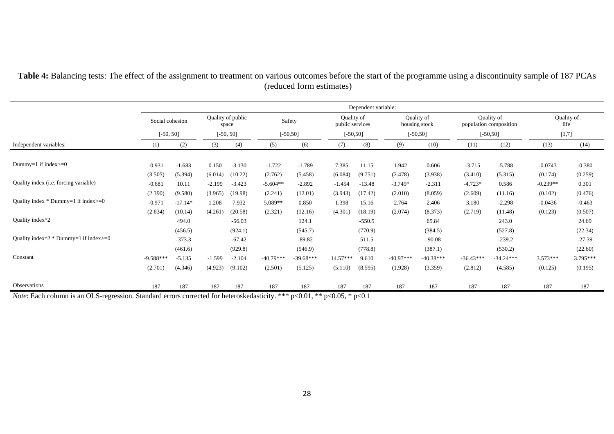|                                                       | Dependent variable: |           |             |                   |             |             |                               |          |             |                             |                        |             |            |            |
|-------------------------------------------------------|---------------------|-----------|-------------|-------------------|-------------|-------------|-------------------------------|----------|-------------|-----------------------------|------------------------|-------------|------------|------------|
|                                                       | Social cohesion     |           | space       | Quality of public | Safety      |             | Quality of<br>public services |          |             | Quality of<br>housing stock | population composition | Quality of  | life       | Quality of |
|                                                       | $[-50, 50]$         |           | $[-50, 50]$ |                   | $[-50, 50]$ |             | $[-50, 50]$                   |          |             | $[-50, 50]$                 | $[-50, 50]$            |             | [1,7]      |            |
| Independent variables:                                | (1)                 | (2)       | (3)         | (4)               | (5)         | (6)         | (7)                           | (8)      | (9)         | (10)                        | (11)                   | (12)        | (13)       | (14)       |
| Dummy=1 if index $>=0$                                | $-0.931$            | $-1.683$  | 0.150       | $-3.130$          | $-1.722$    | $-1.789$    | 7.385                         | 11.15    | 1.942       | 0.606                       | $-3.715$               | $-5.788$    | $-0.0743$  | $-0.380$   |
|                                                       | (3.505)             | (5.394)   | (6.014)     | (10.22)           | (2.762)     | (5.458)     | (6.084)                       | (9.751)  | (2.478)     | (3.938)                     | (3.410)                | (5.315)     | (0.174)    | (0.259)    |
| Quality index ( <i>i.e.</i> forcing variable)         | $-0.681$            | 10.11     | $-2.199$    | $-3.423$          | $-5.604**$  | $-2.892$    | $-1.454$                      | $-13.48$ | $-3.749*$   | $-2.311$                    | $-4.723*$              | 0.586       | $-0.239**$ | 0.301      |
|                                                       | (2.390)             | (9.580)   | (3.965)     | (19.98)           | (2.241)     | (12.01)     | (3.943)                       | (17.42)  | (2.010)     | (8.059)                     | (2.609)                | (11.16)     | (0.102)    | (0.476)    |
| Quality index $*$ Dummy=1 if index $>=0$              | $-0.971$            | $-17.14*$ | 1.208       | 7.932             | 5.089**     | 0.850       | 1.398                         | 15.16    | 2.764       | 2.406                       | 3.180                  | $-2.298$    | $-0.0436$  | $-0.463$   |
|                                                       | (2.634)             | (10.14)   | (4.261)     | (20.58)           | (2.321)     | (12.16)     | (4.301)                       | (18.19)  | (2.074)     | (8.373)                     | (2.719)                | (11.48)     | (0.123)    | (0.507)    |
| Quality index <sup>^2</sup>                           |                     | 494.0     |             | $-56.03$          |             | 124.1       |                               | $-550.5$ |             | 65.84                       |                        | 243.0       |            | 24.69      |
|                                                       |                     | (456.5)   |             | (924.1)           |             | (545.7)     |                               | (770.9)  |             | (384.5)                     |                        | (527.8)     |            | (22.34)    |
| Quality index $\frac{1}{2}$ * Dummy=1 if index $>=$ 0 |                     | $-373.3$  |             | $-67.42$          |             | $-89.82$    |                               | 511.5    |             | $-90.08$                    |                        | $-239.2$    |            | $-27.39$   |
|                                                       |                     | (461.6)   |             | (929.8)           |             | (546.9)     |                               | (778.8)  |             | (387.1)                     |                        | (530.2)     |            | (22.60)    |
| Constant                                              | $-9.588***$         | $-5.135$  | $-1.599$    | $-2.104$          | $-40.79***$ | $-39.68***$ | 14.57***                      | 9.610    | $-40.97***$ | $-40.38***$                 | $-36.43***$            | $-34.24***$ | 3.573***   | 3.795***   |
|                                                       | (2.701)             | (4.346)   | (4.923)     | (9.102)           | (2.501)     | (5.125)     | (5.110)                       | (8.595)  | (1.928)     | (3.359)                     | (2.812)                | (4.585)     | (0.125)    | (0.195)    |
| Observations                                          | 187                 | 187       | 187         | 187               | 187         | 187         | 187                           | 187      | 187         | 187                         | 187                    | 187         | 187        | 187        |

**Table 4:** Balancing tests: The effect of the assignment to treatment on various outcomes before the start of the programme using a discontinuity sample of 187 PCAs (reduced form estimates)

*Note*: Each column is an OLS-regression. Standard errors corrected for heteroskedasticity. \*\*\* p<0.01, \*\* p<0.05, \* p<0.1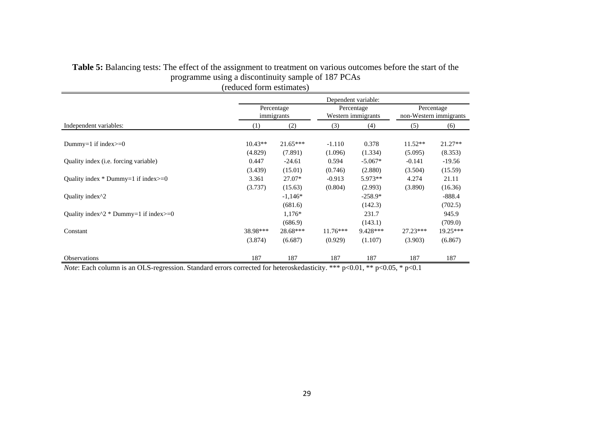|                                                       | Dependent variable: |                                |                       |                                  |                                      |                                  |  |  |
|-------------------------------------------------------|---------------------|--------------------------------|-----------------------|----------------------------------|--------------------------------------|----------------------------------|--|--|
|                                                       |                     | Percentage<br>immigrants       |                       | Percentage<br>Western immigrants | Percentage<br>non-Western immigrants |                                  |  |  |
| Independent variables:                                | (1)                 | (2)                            | (3)                   | (4)                              | (5)                                  | (6)                              |  |  |
| Dummy=1 if index $>=0$                                | $10.43**$           | $21.65***$                     | $-1.110$              | 0.378                            | $11.52**$                            | $21.27**$                        |  |  |
| Quality index ( <i>i.e.</i> forcing variable)         | (4.829)<br>0.447    | (7.891)<br>$-24.61$            | (1.096)<br>0.594      | (1.334)<br>$-5.067*$             | (5.095)<br>$-0.141$                  | (8.353)<br>$-19.56$              |  |  |
| Quality index $*$ Dummy=1 if index $>=0$              | (3.439)<br>3.361    | (15.01)<br>$27.07*$            | (0.746)<br>$-0.913$   | (2.880)<br>5.973**               | (3.504)<br>4.274                     | (15.59)<br>21.11                 |  |  |
| Quality index <sup>1</sup> 2                          | (3.737)             | (15.63)<br>$-1,146*$           | (0.804)               | (2.993)<br>$-258.9*$             | (3.890)                              | (16.36)<br>$-888.4$              |  |  |
| Quality index $\frac{2}{2}$ Dummy=1 if index $\ge$ =0 |                     | (681.6)<br>$1,176*$            |                       | (142.3)<br>231.7                 |                                      | (702.5)<br>945.9                 |  |  |
| Constant                                              | 38.98***<br>(3.874) | (686.9)<br>28.68***<br>(6.687) | $11.76***$<br>(0.929) | (143.1)<br>9.428***<br>(1.107)   | $27.23***$<br>(3.903)                | (709.0)<br>$19.25***$<br>(6.867) |  |  |
| <b>Observations</b>                                   | 187                 | 187                            | 187                   | 187                              | 187                                  | 187                              |  |  |

#### **Table 5:** Balancing tests: The effect of the assignment to treatment on various outcomes before the start of the programme using a discontinuity sample of 187 PCAs (reduced form estimates)

*Note*: Each column is an OLS-regression. Standard errors corrected for heteroskedasticity. \*\*\* p<0.01, \*\* p<0.05, \* p<0.1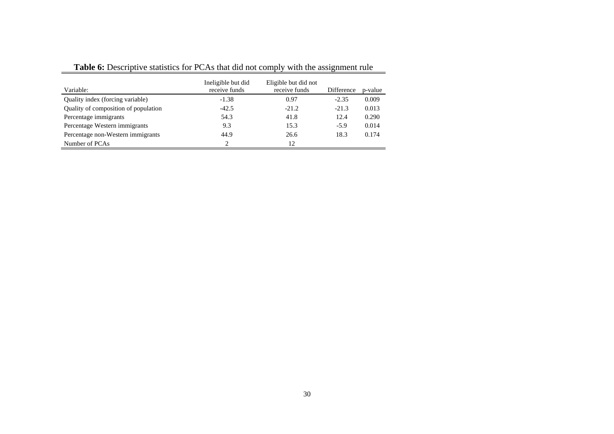| Variable:                            | Ineligible but did<br>receive funds | Eligible but did not<br>receive funds | Difference | p-value |
|--------------------------------------|-------------------------------------|---------------------------------------|------------|---------|
| Quality index (forcing variable)     | $-1.38$                             | 0.97                                  | $-2.35$    | 0.009   |
| Quality of composition of population | $-42.5$                             | $-21.2$                               | $-21.3$    | 0.013   |
| Percentage immigrants                | 54.3                                | 41.8                                  | 12.4       | 0.290   |
| Percentage Western immigrants        | 9.3                                 | 15.3                                  | $-5.9$     | 0.014   |
| Percentage non-Western immigrants    | 44.9                                | 26.6                                  | 18.3       | 0.174   |
| Number of PCAs                       | 2                                   | 12                                    |            |         |

**Table 6:** Descriptive statistics for PCAs that did not comply with the assignment rule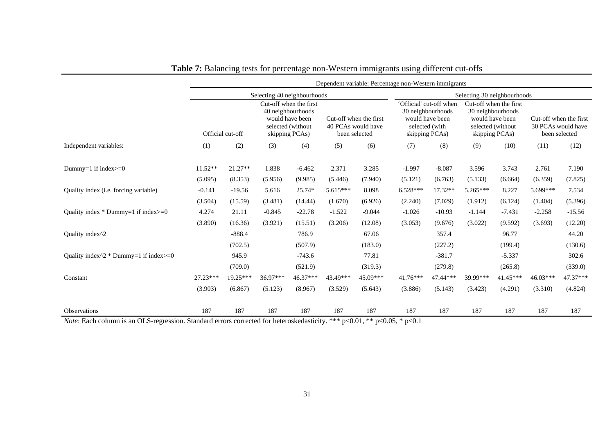|                                                   | Dependent variable: Percentage non-Western immigrants |                      |                  |                                                                                                       |                        |                                     |                             |                                                                                                     |                  |                                                                                                       |                  |                                                               |  |
|---------------------------------------------------|-------------------------------------------------------|----------------------|------------------|-------------------------------------------------------------------------------------------------------|------------------------|-------------------------------------|-----------------------------|-----------------------------------------------------------------------------------------------------|------------------|-------------------------------------------------------------------------------------------------------|------------------|---------------------------------------------------------------|--|
|                                                   |                                                       |                      |                  | Selecting 40 neighbourhoods                                                                           |                        |                                     | Selecting 30 neighbourhoods |                                                                                                     |                  |                                                                                                       |                  |                                                               |  |
|                                                   |                                                       | Official cut-off     |                  | Cut-off when the first<br>40 neighbourhoods<br>would have been<br>selected (without<br>skipping PCAs) | Cut-off when the first | 40 PCAs would have<br>been selected |                             | 'Official' cut-off when<br>30 neighbourhoods<br>would have been<br>selected (with<br>skipping PCAs) |                  | Cut-off when the first<br>30 neighbourhoods<br>would have been<br>selected (without<br>skipping PCAs) |                  | Cut-off when the first<br>30 PCAs would have<br>been selected |  |
| Independent variables:                            | (1)                                                   | (2)                  | (3)              | (4)                                                                                                   | (5)                    | (6)                                 | (7)                         | (8)                                                                                                 | (9)              | (10)                                                                                                  | (11)             | (12)                                                          |  |
| Dummy=1 if index $>=0$                            | 11.52**<br>(5.095)                                    | $21.27**$<br>(8.353) | 1.838<br>(5.956) | $-6.462$<br>(9.985)                                                                                   | 2.371<br>(5.446)       | 3.285<br>(7.940)                    | $-1.997$<br>(5.121)         | $-8.087$<br>(6.763)                                                                                 | 3.596<br>(5.133) | 3.743<br>(6.664)                                                                                      | 2.761<br>(6.359) | 7.190<br>(7.825)                                              |  |
| Quality index ( <i>i.e.</i> forcing variable)     | $-0.141$                                              | $-19.56$             | 5.616            | 25.74*                                                                                                | $5.615***$             | 8.098                               | $6.528***$                  | $17.32**$                                                                                           | 5.265***         | 8.227                                                                                                 | 5.699***         | 7.534                                                         |  |
|                                                   | (3.504)                                               | (15.59)              | (3.481)          | (14.44)                                                                                               | (1.670)                | (6.926)                             | (2.240)                     | (7.029)                                                                                             | (1.912)          | (6.124)                                                                                               | (1.404)          | (5.396)                                                       |  |
| Quality index $*$ Dummy=1 if index $>=0$          | 4.274                                                 | 21.11                | $-0.845$         | $-22.78$                                                                                              | $-1.522$               | $-9.044$                            | $-1.026$                    | $-10.93$                                                                                            | $-1.144$         | $-7.431$                                                                                              | $-2.258$         | $-15.56$                                                      |  |
|                                                   | (3.890)                                               | (16.36)              | (3.921)          | (15.51)                                                                                               | (3.206)                | (12.08)                             | (3.053)                     | (9.676)                                                                                             | (3.022)          | (9.592)                                                                                               | (3.693)          | (12.20)                                                       |  |
| Ouality index <sup>1</sup> 2                      |                                                       | $-888.4$             |                  | 786.9                                                                                                 |                        | 67.06                               |                             | 357.4                                                                                               |                  | 96.77                                                                                                 |                  | 44.20                                                         |  |
|                                                   |                                                       | (702.5)              |                  | (507.9)                                                                                               |                        | (183.0)                             |                             | (227.2)                                                                                             |                  | (199.4)                                                                                               |                  | (130.6)                                                       |  |
| Quality index $\wedge 2$ * Dummy=1 if index $>=0$ |                                                       | 945.9                |                  | $-743.6$                                                                                              |                        | 77.81                               |                             | $-381.7$                                                                                            |                  | $-5.337$                                                                                              |                  | 302.6                                                         |  |
|                                                   |                                                       | (709.0)              |                  | (521.9)                                                                                               |                        | (319.3)                             |                             | (279.8)                                                                                             |                  | (265.8)                                                                                               |                  | (339.0)                                                       |  |
| Constant                                          | $27.23***$                                            | 19.25***             | 36.97***         | 46.37***                                                                                              | 43.49***               | 45.09***                            | $41.76***$                  | 47.44***                                                                                            | 39.99***         | 41.45***                                                                                              | $46.03***$       | 47.37***                                                      |  |
|                                                   | (3.903)                                               | (6.867)              | (5.123)          | (8.967)                                                                                               | (3.529)                | (5.643)                             | (3.886)                     | (5.143)                                                                                             | (3.423)          | (4.291)                                                                                               | (3.310)          | (4.824)                                                       |  |
| Observations                                      | 187                                                   | 187                  | 187              | 187                                                                                                   | 187                    | 187                                 | 187                         | 187                                                                                                 | 187              | 187                                                                                                   | 187              | 187                                                           |  |
|                                                   |                                                       |                      |                  |                                                                                                       |                        |                                     |                             |                                                                                                     |                  |                                                                                                       |                  |                                                               |  |

### **Table 7:** Balancing tests for percentage non-Western immigrants using different cut-offs

*Note*: Each column is an OLS-regression. Standard errors corrected for heteroskedasticity. \*\*\* p<0.01, \*\* p<0.05, \* p<0.1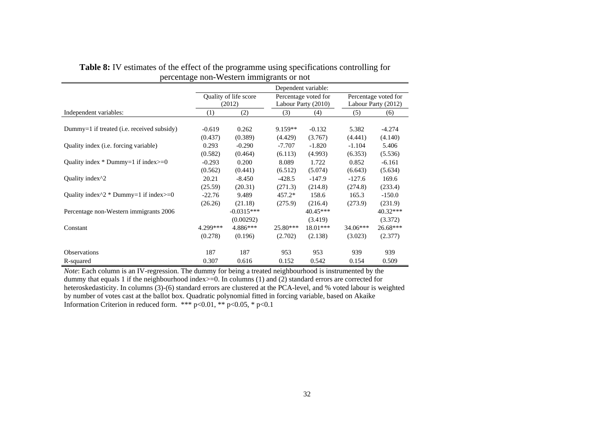|                                                     | Dependent variable: |                       |            |                      |                      |                     |  |
|-----------------------------------------------------|---------------------|-----------------------|------------|----------------------|----------------------|---------------------|--|
|                                                     |                     | Quality of life score |            | Percentage voted for | Percentage voted for |                     |  |
|                                                     |                     | (2012)                |            | Labour Party (2010)  |                      | Labour Party (2012) |  |
| Independent variables:                              | (1)                 | (2)                   | (3)        | (4)                  | (5)                  | (6)                 |  |
|                                                     |                     |                       |            |                      |                      |                     |  |
| Dummy=1 if treated (i.e. received subsidy)          | $-0.619$            | 0.262                 | $9.159**$  | $-0.132$             | 5.382                | $-4.274$            |  |
|                                                     | (0.437)             | (0.389)               | (4.429)    | (3.767)              | (4.441)              | (4.140)             |  |
| Quality index ( <i>i.e.</i> forcing variable)       | 0.293               | $-0.290$              | $-7.707$   | $-1.820$             | $-1.104$             | 5.406               |  |
|                                                     | (0.582)             | (0.464)               | (6.113)    | (4.993)              | (6.353)              | (5.536)             |  |
| Quality index $*$ Dummy=1 if index $>=0$            | $-0.293$            | 0.200                 | 8.089      | 1.722                | 0.852                | $-6.161$            |  |
|                                                     | (0.562)             | (0.441)               | (6.512)    | (5.074)              | (6.643)              | (5.634)             |  |
| Quality index <sup>1</sup> 2                        | 20.21               | $-8.450$              | $-428.5$   | $-147.9$             | $-127.6$             | 169.6               |  |
|                                                     | (25.59)             | (20.31)               | (271.3)    | (214.8)              | (274.8)              | (233.4)             |  |
| Quality index $\frac{2}{2}$ Dummy=1 if index $>=$ 0 | $-22.76$            | 9.489                 | $457.2*$   | 158.6                | 165.3                | $-150.0$            |  |
|                                                     | (26.26)             | (21.18)               | (275.9)    | (216.4)              | (273.9)              | (231.9)             |  |
| Percentage non-Western immigrants 2006              |                     | $-0.0315***$          |            | $40.45***$           |                      | 40.32***            |  |
|                                                     |                     | (0.00292)             |            | (3.419)              |                      | (3.372)             |  |
| Constant                                            | 4.299***            | 4.886***              | $25.80***$ | 18.01***             | $34.06***$           | 26.68***            |  |
|                                                     | (0.278)             | (0.196)               | (2.702)    | (2.138)              | (3.023)              | (2.377)             |  |
| <b>Observations</b>                                 | 187                 | 187                   | 953        | 953                  | 939                  | 939                 |  |
| R-squared                                           | 0.307               | 0.616                 | 0.152      | 0.542                | 0.154                | 0.509               |  |

**Table 8:** IV estimates of the effect of the programme using specifications controlling for percentage non-Western immigrants or not

*Note*: Each column is an IV-regression. The dummy for being a treated neighbourhood is instrumented by the dummy that equals 1 if the neighbourhood index>=0. In columns (1) and (2) standard errors are corrected for heteroskedasticity. In columns (3)-(6) standard errors are clustered at the PCA-level, and % voted labour is weighted by number of votes cast at the ballot box. Quadratic polynomial fitted in forcing variable, based on Akaike Information Criterion in reduced form. \*\*\*  $p<0.01$ , \*\*  $p<0.05$ , \*  $p<0.1$